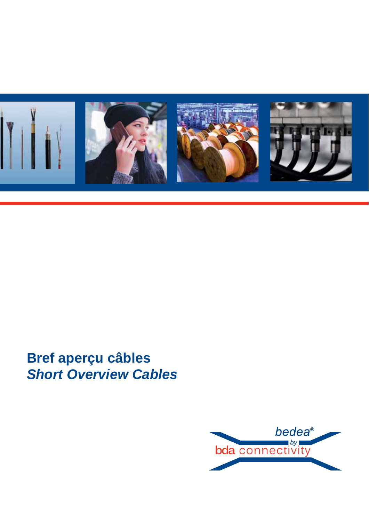

# **Bref aperçu câbles** *Short Overview Cables*

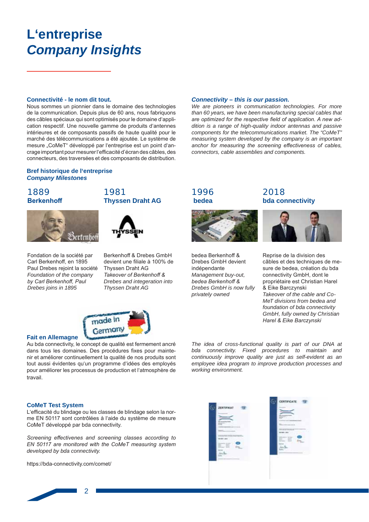# **L'entreprise Company Insights**

#### Connectivité - le nom dit tout.

Nous sommes un pionnier dans le domaine des technologies de la communication. Depuis plus de 60 ans, nous fabriquons des câbles spéciaux qui sont optimisés pour le domaine d'application respectif. Une nouvelle gamme de produits d'antennes intérieures et de composants passifs de haute qualité pour le marché des télécommunications a été ajoutée. Le système de mesure "CoMeT" développé par l'entreprise est un point d'ancrage important pour mesurer l'efficacité d'écran des câbles, des connecteurs, des traversées et des composants de distribution.

### Bref historique de l'entreprise **Company Milestones**

### 1889 **Berkenhoff**



Fondation de la société par Carl Berkenhoff, en 1895 Paul Drebes reioint la société Foundation of the company by Carl Berkenhoff, Paul Drebes joins in 1895





Berkenhoff & Drebes GmbH devient une filiale à 100% de Thyssen Draht AG Takeover of Berkenhoff & Drebes and integeration into Thyssen Draht AG



### **Fait en Allemagne**

Au bda connectivity, le concept de qualité est fermement ancré dans tous les domaines. Des procédures fixes pour maintenir et améliorer continuellement la qualité de nos produits sont tout aussi évidentes qu'un programme d'idées des employés pour améliorer les processus de production et l'atmosphère de travail.

#### **CoMeT Test System**

L'efficacité du blindage ou les classes de blindage selon la norme EN 50117 sont contrôlées à l'aide du système de mesure CoMeT développé par bda connectivity.

Screening effectivenes and screening classes according to EN 50117 are monitored with the CoMeT measuring system developed by bda connectivity.

https://bda-connectivity.com/comet/

 $\overline{a}$ 

bedea Berkenhoff & Drebes GmbH devient indépendante Management buy-out, bedea Berkenhoff & Drebes GmbH is now fully privately owned

1996

bedea

Connectivity - this is our passion.

connectors, cable assemblies and components.

We are pioneers in communication technologies. For more

than 60 years, we have been manufacturing special cables that

are optimized for the respective field of application. A new ad-

dition is a range of high-quality indoor antennas and passive

components for the telecommunications market. The "CoMeT"

measuring system developed by the company is an important

anchor for measuring the screening effectiveness of cables,

### 2018 **bda connectivity**



Reprise de la division des câbles et des techniques de mesure de bedea, création du bda connectivity GmbH, dont le propriétaire est Christian Harel .<br>& Fike Barczynski Takeover of the cable and Co-MeT divisions from bedea and foundation of bda connectivity GmbH, fully owned by Christian Harel & Eike Barczynski

The idea of cross-functional quality is part of our DNA at bda connectivity. Fixed procedures to maintain and continuously improve quality are just as self-evident as an emplovee idea program to improve production processes and working environment.

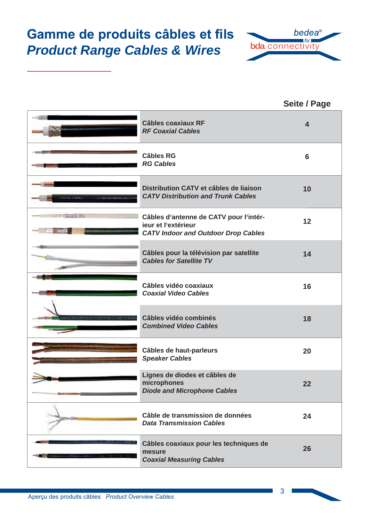# **Gamme de produits câbles et fils** *Product Range Cables & Wires*



**Seite / Page**

|                            | <b>Câbles coaxiaux RF</b><br><b>RF Coaxial Cables</b>                                                       | $\overline{\mathbf{4}}$ |
|----------------------------|-------------------------------------------------------------------------------------------------------------|-------------------------|
|                            | <b>Câbles RG</b><br><b>RG Cables</b>                                                                        | 6                       |
| 649-83-659-53-4911.A       | Distribution CATV et câbles de liaison<br><b>CATV Distribution and Trunk Cables</b>                         | 10                      |
| the air of the white strip | Câbles d'antenne de CATV pour l'intér-<br>jeur et l'extérieur<br><b>CATV Indoor and Outdoor Drop Cables</b> | 12                      |
|                            | Câbles pour la télévision par satellite<br><b>Cables for Satellite TV</b>                                   | 14                      |
|                            | Câbles vidéo coaxiaux<br><b>Coaxial Video Cables</b>                                                        | 16                      |
|                            | Câbles vidéo combinés<br><b>Combined Video Cables</b>                                                       | 18                      |
|                            | Câbles de haut-parleurs<br><b>Speaker Cables</b>                                                            | 20                      |
|                            | Lignes de diodes et câbles de<br>microphones<br><b>Diode and Microphone Cables</b>                          | 22                      |
|                            | Câble de transmission de données<br><b>Data Transmission Cables</b>                                         | 24                      |
|                            | Câbles coaxiaux pour les techniques de<br>mesure<br><b>Coaxial Measuring Cables</b>                         | 26                      |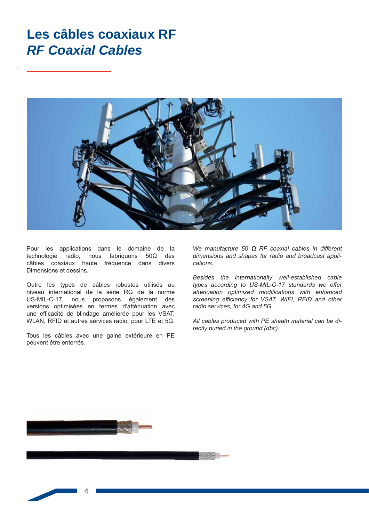### Les câbles coaxiaux RF **RF Coaxial Cables**



Pour les applications dans le domaine de la technologie radio, nous fabriquons  $50\Omega$  des câbles coaxiaux haute fréquence dans divers Dimensions et dessins.

Outre les types de câbles robustes utilisés au niveau international de la série RG de la norme US-MIL-C-17, nous proposons également des versions optimisées en termes d'atténuation avec une efficacité de blindage améliorée pour les VSAT, WLAN, RFID et autres services radio, pour LTE et 5G.

Tous les câbles avec une gaine extérieure en PE peuvent être enterrés.

We manufacture 50  $\Omega$  RF coaxial cables in different dimensions and shapes for radio and broadcast applications.

Besides the internationally well-established cable types according to US-MIL-C-17 standards we offer attenuation optimized modifications with enhanced screening efficiency for VSAT, WIFI, RFID and other radio services, for 4G and 5G.

All cables produced with PE sheath material can be directly buried in the ground (dbc).

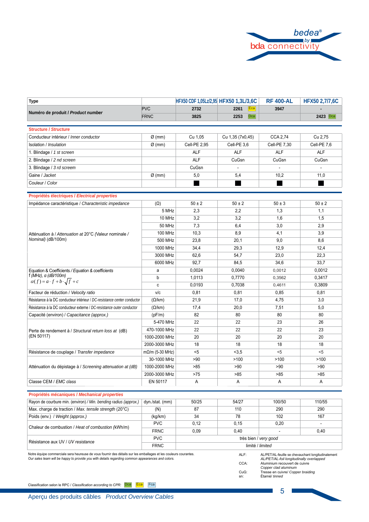

| <b>Type</b>                                                              | HFX50 CDF 1,05Lz/2,95 HFX50 1,3L/3,6C |              |                  | <b>RF 400-AL</b> | <b>HFX50 2,7/7,6C</b> |
|--------------------------------------------------------------------------|---------------------------------------|--------------|------------------|------------------|-----------------------|
| Numéro de produit / Product number                                       | <b>PVC</b>                            | 2732         | 2261<br>Ecal     | 3947             |                       |
|                                                                          | <b>FRNC</b>                           | 3825         | Dca<br>2253      |                  | 2423 Dca              |
| <b>Structure / Structure</b>                                             |                                       |              |                  |                  |                       |
| Conducteur intérieur / Inner conductor                                   | $Ø$ (mm)                              | Cu 1,05      | Cu 1,35 (7x0,45) | CCA 2,74         | Cu 2,75               |
| Isolation / Insulation                                                   | $\varnothing$ (mm)                    | Cell-PE 2,95 | Cell-PE 3,6      | Cell-PE 7,30     | Cell-PE 7,6           |
|                                                                          |                                       |              | <b>ALF</b>       | <b>ALF</b>       | <b>ALF</b>            |
| 1. Blindage / 1 st screen                                                |                                       | <b>ALF</b>   |                  |                  |                       |
| 2. Blindage / 2 nd screen                                                |                                       | <b>ALF</b>   | CuGsn            | CuGsn            | CuGsn                 |
| 3. Blindage / 3 rd screem                                                |                                       | CuGsn        |                  |                  | $\overline{a}$        |
| Gaine / Jacket                                                           | $\varnothing$ (mm)                    | 5,0          | 5,4              | 10,2             | 11,0                  |
| Couleur / Color                                                          |                                       |              |                  |                  |                       |
| Propriétés électriques / Electrical properties                           |                                       |              |                  |                  |                       |
| Impédance caractéristique / Characteristic impedance                     | $(\Omega)$                            | $50 \pm 2$   | $50 \pm 2$       | $50 \pm 3$       | $50 \pm 2$            |
|                                                                          | 5 MHz                                 | 2,3          | 2.2              | 1,3              | 1,1                   |
|                                                                          | 10 MHz                                | 3,2          | 3,2              | 1,6              | 1,5                   |
|                                                                          | <b>50 MHz</b>                         | 7,3          | 6,4              | 3,0              | 2,9                   |
| Atténuation à / Attenuation at 20°C (Valeur nominale /                   | <b>100 MHz</b>                        | 10,3         | 8,9              | 4.1              | 3,9                   |
| Nominal) (dB/100m)                                                       | 500 MHz                               | 23,8         | 20,1             | 9,0              | 8,6                   |
|                                                                          | 1000 MHz                              | 34,4         | 29,3             | 12,9             | 12,4                  |
|                                                                          | 3000 MHz                              | 62,6         | 54,7             | 23,0             | 22,3                  |
|                                                                          | 6000 MHz                              | 92,7         | 84,5             | 34,6             | 33,7                  |
| Equation & Coefficients / Equation & coefficients                        | a                                     | 0.0024       | 0,0040           | 0,0012           | 0,0012                |
| $f(MHz)$ , a (dB/100m)                                                   | b                                     | 1,0113       | 0,7770           | 0,3562           | 0,3417                |
| $\alpha(f) = a \cdot f + b \cdot \sqrt{f} + c$                           | c                                     | 0,0193       | 0,7038           | 0,4611           | 0,3809                |
| Facteur de réduction / Velocity ratio                                    | V/c                                   | 0,81         | 0,81             | 0.85             | 0,81                  |
| Résistance à la DC conducteur intérieur / DC-resistance center conductor | $(\Omega/km)$                         | 21,9         | 17,0             | 4,75             | 3,0                   |
| Résistance à la DC conducteur externe / DC-resistance outer conductor    | $(\Omega/km)$                         | 17,4         | 20,0             | 7,51             | 5,0                   |
| Capacité (environ) / Capacitance (approx.)                               | (pF/m)                                | 82           | 80               | 80               | 80                    |
|                                                                          | 5-470 MHz                             | 22           | 22               | 23               | 26                    |
| Perte de rendement à / Structural return loss at (dB)                    | 470-1000 MHz                          | 22           | 22               | 22               | 23                    |
| (EN 50117)                                                               | 1000-2000 MHz                         | 20           | 20               | 20               | 20                    |
|                                                                          | 2000-3000 MHz                         | 18           | 18               | 18               | 18                    |
| Résistance de couplage / Transfer impedance                              | $m\Omega/m$ (5-30 MHz)                | $5$          | < 3, 5           | $5$              | < 5                   |
|                                                                          | 30-1000 MHz                           | >90          | >100             | >100             | >100                  |
| Atténuation du dépistage à / Screening attenuation at (dB)               | 1000-2000 MHz                         | >85          | >90              | >90              | >90                   |
|                                                                          | 2000-3000 MHz                         | >75          | >85              | >85              | >85                   |
| Classe CEM / EMC class                                                   | EN 50117                              | Α            | Α                | A                | A                     |

### Propriétés mécaniques / Mechanical properties

| Rayon de courbure min. (environ) / Min. bending radius (approx.) | dyn./stat. (mm) | 50/25                 | 54/27 | 100/50 | 110/55 |
|------------------------------------------------------------------|-----------------|-----------------------|-------|--------|--------|
| Max. charge de traction / Max. tensile strength (20°C)           | (N)             | 87                    | 110   | 290    | 290    |
| Poids (env.) / Weight (approx.)                                  | (kg/km)         | 34                    | 78    | 102    | 167    |
|                                                                  | <b>PVC</b>      | 0.12                  | 0.15  | 0.20   |        |
| Chaleur de combustion / Heat of combustion (kWh/m)               | <b>FRNC</b>     | 0.09                  | 0.40  |        | 0,40   |
| Résistance aux UV / UV resistance                                | <b>PVC</b>      | très bien / very good |       |        |        |
|                                                                  | FRNC.           | limité / limited      |       |        |        |

Notre équipe commerciale sera heureuse de vous fournir des détails sur les emballages et les couleurs courantes.<br>Our sales team will be happy to provide you with details regarding common appearances and colors.

AL/PET/AL-feuille se chevauchant longitudinalement<br>AL/PET/AL-foil longitudinally overlapped<br>Aluminium recouvert de cuivre<br>Copper clad aluminum<br>Tresse en cuivre/ Copper braiding

CuG:  $sn:$ Étamé/ tinned

ALF: CCA:

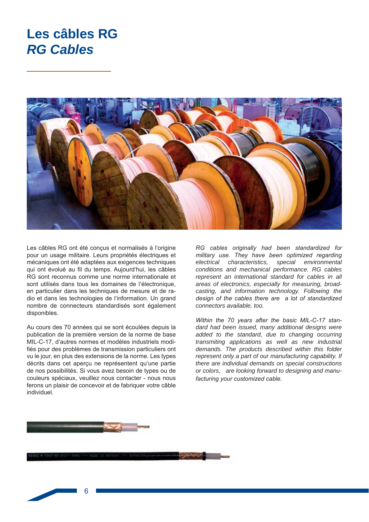### Les câbles RG **RG Cables**



Les câbles RG ont été conçus et normalisés à l'origine pour un usage militaire. Leurs propriétés électriques et mécaniques ont été adaptées aux exigences techniques qui ont évolué au fil du temps. Aujourd'hui, les câbles RG sont reconnus comme une norme internationale et sont utilisés dans tous les domaines de l'électronique. en particulier dans les techniques de mesure et de radio et dans les technologies de l'information. Un grand nombre de connecteurs standardisés sont également disponibles.

Au cours des 70 années qui se sont écoulées depuis la publication de la première version de la norme de base MIL-C-17, d'autres normes et modèles industriels modifiés pour des problèmes de transmission particuliers ont vu le jour, en plus des extensions de la norme. Les types décrits dans cet apercu ne représentent qu'une partie de nos possibilités. Si vous avez besoin de types ou de couleurs spéciaux, veuillez nous contacter - nous nous ferons un plaisir de concevoir et de fabriquer votre câble individuel

RG cables originally had been standardized for military use. They have been optimized regarding special electrical characteristics. environmental conditions and mechanical performance. RG cables represent an international standard for cables in all areas of electronics, especially for measuring, broadcasting, and information technology. Following the design of the cables there are a lot of standardized connectors available, too.

Within the 70 years after the basic MIL-C-17 standard had been issued, many additional designs were added to the standard, due to changing occurring transmiting applications as well as new industrial demands. The products described within this folder represent only a part of our manufacturing capability. If there are individual demands on special constructions or colors, are looking forward to designing and manufacturing your customized cable.

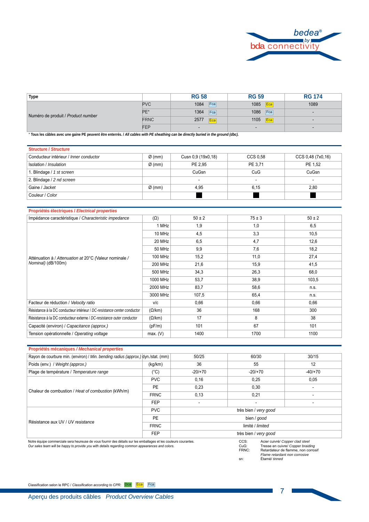

| Type                               |             | <b>RG 58</b>   | <b>RG 59</b>   | <b>RG 174</b> |
|------------------------------------|-------------|----------------|----------------|---------------|
| Numéro de produit / Product number | <b>PVC</b>  | Fca<br>1084    | Eca<br>1085    | 1089          |
|                                    | PE*         | 1364<br>Fca    | Fca<br>1086    |               |
|                                    | <b>FRNC</b> | 2577<br>Eca    | 1105<br>Eca    |               |
|                                    | FEP         | $\blacksquare$ | $\blacksquare$ |               |

 **Tous les câbles avec une gaine PE peuvent être enterrés. /** *All cables with PE sheathing can be directly buried in the ground (dbc).*

| <b>Structure / Structure</b>           |                    |                          |                          |                   |  |  |
|----------------------------------------|--------------------|--------------------------|--------------------------|-------------------|--|--|
| Conducteur intérieur / Inner conductor | $\varnothing$ (mm) | Cusn 0,9 (19x0,18)       | CCS 0.58                 | CCS 0,48 (7x0,16) |  |  |
| Isolation / Insulation                 | $\varnothing$ (mm) | PE 2.95                  | PE 3.71                  | PE 1.52           |  |  |
| 1. Blindage / 1 st screen              |                    | CuGsn                    | CuG                      | CuGsn             |  |  |
| 2. Blindage / 2 nd screen              |                    | $\overline{\phantom{a}}$ | $\overline{\phantom{a}}$ | $\sim$            |  |  |
| Gaine / Jacket                         | $\varnothing$ (mm) | 4,95                     | 6.15                     | 2,80              |  |  |
| Couleur / Color                        |                    |                          |                          |                   |  |  |

| Propriétés électriques / Electrical properties                               |               |            |            |            |
|------------------------------------------------------------------------------|---------------|------------|------------|------------|
| Impédance caractéristique / Characteristic impedance                         | $(\Omega)$    | $50 \pm 2$ | $75 \pm 3$ | $50 \pm 2$ |
|                                                                              | 1 MHz         | 1,9        | 1,0        | 6,5        |
|                                                                              | 10 MHz        | 4,5        | 3,3        | 10,5       |
|                                                                              | 20 MHz        | 6,5        | 4,7        | 12,6       |
|                                                                              | 50 MHz        | 9,9        | 7,6        | 18,2       |
| Atténuation à / Attenuation at 20°C (Valeur nominale /<br>Nominal) (dB/100m) | 100 MHz       | 15,2       | 11,0       | 27,4       |
|                                                                              | 200 MHz       | 21,6       | 15,9       | 41,5       |
|                                                                              | 500 MHz       | 34,3       | 26,3       | 68,0       |
|                                                                              | 1000 MHz      | 53,7       | 38,9       | 103,5      |
|                                                                              | 2000 MHz      | 83,7       | 58,6       | n.s.       |
|                                                                              | 3000 MHz      | 107,5      | 65,4       | n.s.       |
| Facteur de réduction / Velocity ratio                                        | V/C           | 0,66       | 0,66       | 0,66       |
| Résistance à la DC conducteur intérieur / DC-resistance center conductor     | $(\Omega/km)$ | 36         | 168        | 300        |
| Résistance à la DC conducteur externe / DC-resistance outer conductor        | $(\Omega/km)$ | 17         | 8          | 38         |
| Capacité (environ) / Capacitance (approx.)                                   | (pF/m)        | 101        | 67         | 101        |
| Tension opérationnelle / Operating voltage                                   | max. (V)      | 1400       | 1700       | 1100       |

| Propriétés mécaniques / Mechanical properties                                                                                                                                                                         |             |           |                          |                                                                      |  |  |  |
|-----------------------------------------------------------------------------------------------------------------------------------------------------------------------------------------------------------------------|-------------|-----------|--------------------------|----------------------------------------------------------------------|--|--|--|
| Rayon de courbure min. (environ) / Min. bending radius (approx.) dyn./stat. (mm)                                                                                                                                      |             | 50/25     | 60/30                    | 30/15                                                                |  |  |  |
| Poids (env.) / Weight (approx.)                                                                                                                                                                                       | (kg/km)     | 36        | 55                       | 12                                                                   |  |  |  |
| Plage de température / Temperature range                                                                                                                                                                              | (°C)        | $-20/170$ | $-20/170$                | $-40/+70$                                                            |  |  |  |
|                                                                                                                                                                                                                       | <b>PVC</b>  | 0,16      | 0,25                     | 0,05                                                                 |  |  |  |
| Chaleur de combustion / Heat of combustion (kWh/m)                                                                                                                                                                    | PE          | 0,23      | 0,30                     |                                                                      |  |  |  |
|                                                                                                                                                                                                                       | <b>FRNC</b> | 0,13      | 0,21                     |                                                                      |  |  |  |
|                                                                                                                                                                                                                       | <b>FEP</b>  |           | $\overline{\phantom{a}}$ |                                                                      |  |  |  |
|                                                                                                                                                                                                                       | <b>PVC</b>  |           | très bien / very good    |                                                                      |  |  |  |
| Résistance aux UV / UV resistance                                                                                                                                                                                     | PE          |           | bien / good              |                                                                      |  |  |  |
|                                                                                                                                                                                                                       | <b>FRNC</b> |           | limité / limited         |                                                                      |  |  |  |
|                                                                                                                                                                                                                       | <b>FEP</b>  |           | très bien / very good    |                                                                      |  |  |  |
| Notre équipe commerciale sera heureuse de vous fournir des détails sur les emballages et les couleurs courantes.<br>Our sales team will be happy to provide you with details regarding common appearances and colors. |             |           | CCS:<br>CuG:             | Acier cuivré/ Copper clad steel<br>Tresse en cuivre/ Copper braiding |  |  |  |

CuG: Tresse en cuivre/ Copper braiding<br>
FRNC: Retardateur de flamme, non corrosif<br> *Flame retardant non corrosive*<br>
sn: Étamé/ tinned

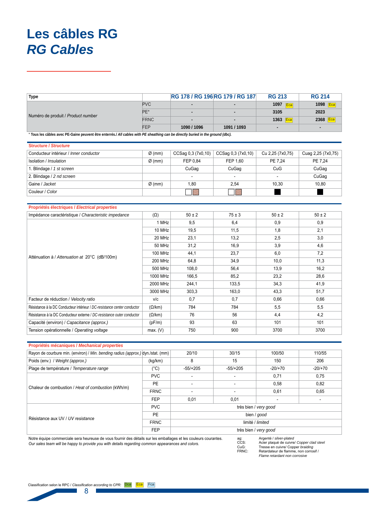# Les câbles RG **RG Cables**

| Type                                                                                                                            |             | <b>RG 178 / RG 196 RG 179 / RG 187</b> |                          | <b>RG 213</b> | <b>RG 214</b> |
|---------------------------------------------------------------------------------------------------------------------------------|-------------|----------------------------------------|--------------------------|---------------|---------------|
| Numéro de produit / Product number                                                                                              | <b>PVC</b>  |                                        | $\overline{\phantom{0}}$ | 1097<br>Eca   | 1098 Eca      |
|                                                                                                                                 | PE*         | $\overline{\phantom{a}}$               | $\overline{\phantom{0}}$ | 3105          | 2023          |
|                                                                                                                                 | <b>FRNC</b> |                                        | $\blacksquare$           | 1363 Eca      | 2368 Eca      |
|                                                                                                                                 | FEP         | 1090 / 1096                            | 1091 / 1093              |               |               |
| * Tous les eâbles avec BE Caine pouvent être enterrés / All cables with BE shoothing can be directly buried in the ground (dbe) |             |                                        |                          |               |               |

, yı

| <b>Structure / Structure</b>           |                    |                          |                          |                  |                    |
|----------------------------------------|--------------------|--------------------------|--------------------------|------------------|--------------------|
| Conducteur intérieur / Inner conductor | $\varnothing$ (mm) | CCSag 0,3 (7x0,10)       | CCSag 0,3 (7x0,10)       | Cu 2,25 (7x0,75) | Cuag 2,25 (7x0,75) |
| Isolation / Insulation                 | $\varnothing$ (mm) | FEP 0.84                 | FEP 1.60                 | PE 7.24          | PE 7.24            |
| I. Blindage / 1 st screen              |                    | CuGag                    | CuGag                    | CuG              | CuGag              |
| 2. Blindage / 2 nd screen              |                    | $\overline{\phantom{0}}$ | $\sim$                   | $\sim$           | CuGag              |
| Gaine / Jacket                         | $\varnothing$ (mm) | 1.80                     | 2,54                     | 10.30            | 10,80              |
| Couleur / Color                        |                    |                          | $\overline{\phantom{a}}$ |                  |                    |

|                                                                          | Proprietes electriques / Electrical properties |            |            |            |            |  |  |
|--------------------------------------------------------------------------|------------------------------------------------|------------|------------|------------|------------|--|--|
| Impédance caractéristique / Characteristic impedance                     | $(\Omega)$                                     | $50 \pm 2$ | $75 \pm 3$ | $50 \pm 2$ | $50 \pm 2$ |  |  |
|                                                                          | 1 MHz                                          | 9,5        | 6,4        | 0.9        | 0,9        |  |  |
|                                                                          | 10 MHz                                         | 19,5       | 11,5       | 1,8        | 2,1        |  |  |
|                                                                          | 20 MHz                                         | 23,1       | 13,2       | 2,5        | 3,0        |  |  |
|                                                                          | 50 MHz                                         | 31,2       | 16,9       | 3,9        | 4,6        |  |  |
| Atténuation à / Attenuation at 20°C (dB/100m)                            | <b>100 MHz</b>                                 | 44,1       | 23,7       | 6,0        | 7,2        |  |  |
|                                                                          | <b>200 MHz</b>                                 | 64,8       | 34,9       | 10,0       | 11,3       |  |  |
|                                                                          | 500 MHz                                        | 108,0      | 56,4       | 13,9       | 16,2       |  |  |
|                                                                          | 1000 MHz                                       | 166,5      | 85,2       | 23,2       | 28,6       |  |  |
|                                                                          | 2000 MHz                                       | 244,1      | 133,5      | 34,3       | 41,9       |  |  |
|                                                                          | 3000 MHz                                       | 303,3      | 163,0      | 43,3       | 51,7       |  |  |
| Facteur de réduction / Velocity ratio                                    | v/c                                            | 0,7        | 0,7        | 0,66       | 0,66       |  |  |
| Résistance à la DC Conducteur intérieur / DC-resistance center conductor | $(\Omega/km)$                                  | 784        | 784        | 5,5        | 5,5        |  |  |
| Résistance à la DC Conducteur externe / DC-resistance outer conductor    | $(\Omega/km)$                                  | 76         | 56         | 4,4        | 4,2        |  |  |
| Capacité (environ) / Capacitance (approx.)                               | (pF/m)                                         | 93         | 63         | 101        | 101        |  |  |
| Tension opérationnelle / Operating voltage                               | max. (V)                                       | 750        | 900        | 3700       | 3700       |  |  |

| Propriétés mécaniques / Mechanical properties                                                                    |               |                       |                  |                        |           |  |  |
|------------------------------------------------------------------------------------------------------------------|---------------|-----------------------|------------------|------------------------|-----------|--|--|
| Rayon de courbure min. (environ) / Min. bending radius (approx.) dyn./stat. (mm)                                 |               | 20/10                 | 30/15            | 100/50                 | 110/55    |  |  |
| Poids (env.) / Weight (approx.)                                                                                  | (kg/km)       | 8                     | 15               | 150                    | 206       |  |  |
| Plage de température / Temperature range                                                                         | $(^{\circ}C)$ | $-55/+205$            | $-55/+205$       | $-20/170$              | $-20/+70$ |  |  |
| Chaleur de combustion / Heat of combustion (kWh/m)                                                               | <b>PVC</b>    |                       |                  | 0,71                   | 0,75      |  |  |
|                                                                                                                  | PE            |                       |                  | 0,58                   | 0,82      |  |  |
|                                                                                                                  | <b>FRNC</b>   |                       |                  | 0,61                   | 0,65      |  |  |
|                                                                                                                  | <b>FEP</b>    | 0,01                  | 0,01             |                        |           |  |  |
|                                                                                                                  | <b>PVC</b>    | très bien / very good |                  |                        |           |  |  |
| Résistance aux UV / UV resistance                                                                                | PE            | bien / good           |                  |                        |           |  |  |
|                                                                                                                  | <b>FRNC</b>   |                       | limité / limited |                        |           |  |  |
|                                                                                                                  | <b>FEP</b>    | très bien / very good |                  |                        |           |  |  |
| Natura Apertura penemperatakan persebutan dan bertumpun dan dan data tanggal dan pembalian pentangan persempatan |               |                       | $\sim$ $\sim$    | Argontó Loilvor platod |           |  |  |

Notre équipe commerciale sera heureuse de vous fournir des détails sur les emballages et les couleurs courantes. Our sales team will be happy to provide you with details regarding common appearances and colors.

Argenté / silver-plated<br>Acier plaqué de cuivre/ Copper clad steel<br>Tresse en cuivre/ Copper braiding<br>Retardateur de flamme, non corrosif /<br>Flame retardant non corrosive ag:<br>CCS:<br>CuG:<br>FRNC: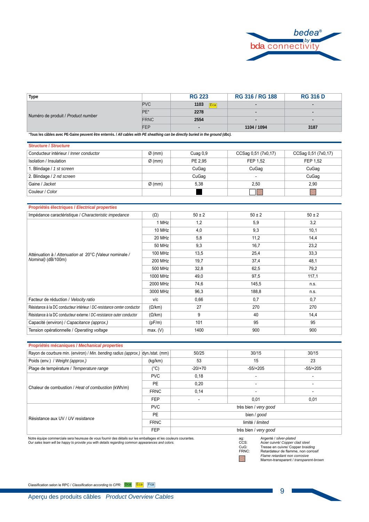

| Type                               |             | <b>RG 223</b> | RG 316 / RG 188 | <b>RG 316 D</b> |
|------------------------------------|-------------|---------------|-----------------|-----------------|
| Numéro de produit / Product number | <b>PVC</b>  | 1103<br>Eca   | $\blacksquare$  | $\blacksquare$  |
|                                    | PE*         | 2278          | $\blacksquare$  |                 |
|                                    | <b>FRNC</b> | 2554          | $\blacksquare$  |                 |
|                                    | <b>FEP</b>  |               | 1104 / 1094     | 3187            |

**Tous les câbles avec PE-Gaine peuvent être enterrés. /** *All cables with PE sheathing can be directly buried in the ground (dbc).*

| <b>Structure / Structure</b>           |                    |          |                          |                     |
|----------------------------------------|--------------------|----------|--------------------------|---------------------|
| Conducteur intérieur / Inner conductor | $\varnothing$ (mm) | Cuag 0,9 | CCSag 0,51 (7x0,17)      | CCSag 0,51 (7x0,17) |
| Isolation / Insulation                 | $Ø$ (mm)           | PE 2.95  | FEP 1.52                 | FEP 1.52            |
| I. Blindage / 1 st screen              |                    | CuGag    | CuGag                    | CuGag               |
| 2. Blindage / 2 nd screen              |                    | CuGag    | $\overline{\phantom{a}}$ | CuGag               |
| Gaine / Jacket                         | $\varnothing$ (mm) | 5,38     | 2,50                     | 2,90                |
| Couleur / Color                        |                    |          | ⋉                        |                     |

#### **Propriétés électriques /** *Electrical properties*

| Impédance caractéristique / Characteristic impedance                         | $(\Omega)$    | $50 \pm 2$ | $50 \pm 2$ | $50 \pm 2$ |
|------------------------------------------------------------------------------|---------------|------------|------------|------------|
|                                                                              | 1 MHz         | 1,2        | 5,9        | 3,2        |
| Atténuation à / Attenuation at 20°C (Valeur nominale /<br>Nominal) (dB/100m) | 10 MHz        | 4,0        | 9,3        | 10,1       |
|                                                                              | 20 MHz        | 5,8        | 11,2       | 14,4       |
|                                                                              | 50 MHz        | 9,3        | 16,7       | 23,2       |
|                                                                              | 100 MHz       | 13,5       | 25,4       | 33,3       |
|                                                                              | 200 MHz       | 19,7       | 37,4       | 48,1       |
|                                                                              | 500 MHz       | 32,8       | 62,5       | 79,2       |
|                                                                              | 1000 MHz      | 49,0       | 97,5       | 117,1      |
|                                                                              | 2000 MHz      | 74,6       | 145,5      | n.s.       |
|                                                                              | 3000 MHz      | 96,3       | 188,8      | n.s.       |
| Facteur de réduction / Velocity ratio                                        | v/c           | 0,66       | 0,7        | 0,7        |
| Résistance à la DC conducteur intérieur / DC-resistance center conductor     | $(\Omega/km)$ | 27         | 270        | 270        |
| Résistance à la DC conducteur externe / DC-resistance outer conductor        | $(\Omega/km)$ | 9          | 40         | 14,4       |
| Capacité (environ) / Capacitance (approx.)                                   | (pF/m)        | 101        | 95         | 95         |
| Tension opérationnelle / Operating voltage                                   | max. (V)      | 1400       | 900        | 900        |

|  |  | Propriétés mécaniques / Mechanical properties |
|--|--|-----------------------------------------------|
|  |  |                                               |

| Rayon de courbure min. (environ) / Min. bending radius (approx.) dyn./stat. (mm) |             | 50/25                    | 30/15                 | 30/15      |  |  |  |
|----------------------------------------------------------------------------------|-------------|--------------------------|-----------------------|------------|--|--|--|
| Poids (env.) / Weight (approx.)                                                  | (kg/km)     | 53                       | 15                    | 23         |  |  |  |
| Plage de température / Temperature range                                         | (°C)        | $-20/170$                | $-55/+205$            | $-55/+205$ |  |  |  |
|                                                                                  | <b>PVC</b>  | 0,18                     | $\blacksquare$        |            |  |  |  |
| Chaleur de combustion / Heat of combustion (kWh/m)                               | <b>PE</b>   | 0,20                     | ٠                     |            |  |  |  |
|                                                                                  | <b>FRNC</b> | 0,14                     | $\blacksquare$        |            |  |  |  |
|                                                                                  | <b>FEP</b>  | $\overline{\phantom{0}}$ | 0,01                  | 0,01       |  |  |  |
|                                                                                  | <b>PVC</b>  |                          | très bien / very good |            |  |  |  |
|                                                                                  | PE          |                          | bien / good           |            |  |  |  |
| Résistance aux UV / UV resistance                                                | <b>FRNC</b> |                          | limité / limited      |            |  |  |  |
|                                                                                  | <b>FEP</b>  |                          | très bien / very good |            |  |  |  |
|                                                                                  |             |                          |                       |            |  |  |  |

Notre équipe commerciale sera heureuse de vous fournir des détails sur les emballages et les couleurs courantes.<br>*Our sales team will be happy to provide you with details regarding common appearances and colors.* 



ag: Argenté */ silver-plated*<br>
CCS: Acier cuivré/ Copper clad steel<br>
CuG: Tresse en cuivre/ Copper braiding<br>
FRNC: Retardateur de flamme, non corrosif<br> *Flame retardant non corrosive* 

9

Marron-transparent / transparent-brown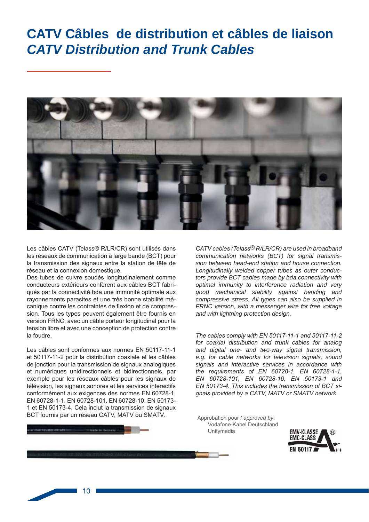# CATV Câbles de distribution et câbles de liaison **CATV Distribution and Trunk Cables**



Les câbles CATV (Telass® R/LR/CR) sont utilisés dans les réseaux de communication à large bande (BCT) pour la transmission des signaux entre la station de tête de réseau et la connexion domestique.

Des tubes de cuivre soudés longitudinalement comme conducteurs extérieurs confèrent aux câbles BCT fabriqués par la connectivité bda une immunité optimale aux rayonnements parasites et une très bonne stabilité mécanique contre les contraintes de flexion et de compression. Tous les types peuvent également être fournis en version FRNC, avec un câble porteur longitudinal pour la tension libre et avec une conception de protection contre la foudre.

Les câbles sont conformes aux normes EN 50117-11-1 et 50117-11-2 pour la distribution coaxiale et les câbles de jonction pour la transmission de signaux analogiques et numériques unidirectionnels et bidirectionnels, par exemple pour les réseaux câblés pour les signaux de télévision, les signaux sonores et les services interactifs conformément aux exigences des normes EN 60728-1, EN 60728-1-1, EN 60728-101, EN 60728-10, EN 50173-1 et EN 50173-4. Cela inclut la transmission de signaux BCT fournis par un réseau CATV, MATV ou SMATV.

CATV cables (Telass<sup>®</sup> R/LR/CR) are used in broadband communication networks (BCT) for signal transmission between head-end station and house connection. Longitudinally welded copper tubes as outer conductors provide BCT cables made by bda connectivity with optimal immunity to interference radiation and very good mechanical stability against bending and compressive stress. All types can also be supplied in FRNC version, with a messenger wire for free voltage and with lightning protection design.

The cables comply with EN 50117-11-1 and 50117-11-2 for coaxial distribution and trunk cables for analog and digital one- and two-way signal transmission. e.g. for cable networks for television signals, sound signals and interactive services in accordance with the requirements of EN 60728-1, EN 60728-1-1, EN 60728-101, EN 60728-10, EN 50173-1 and EN 50173-4. This includes the transmission of BCT signals provided by a CATV, MATV or SMATV network.

Approbation pour / approved by: Vodafone-Kabel Deutschland Unitymedia



 $10$ 

**ATTECHER CRIME**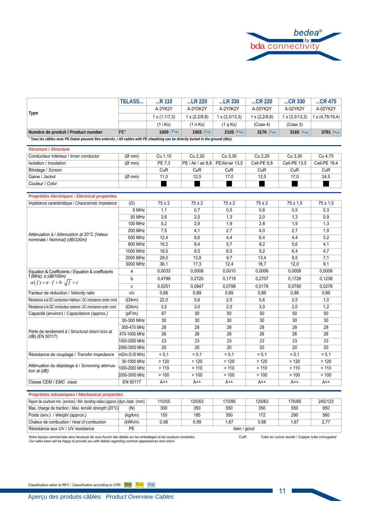

| * Tous les câbles avec PE-Gaine peuvent être enterrés. / All cables with PE sheathing can be directly buried in the ground (dbc).<br>Christian / Christina |               |                        |                      |                       |                      |                       |                        |
|------------------------------------------------------------------------------------------------------------------------------------------------------------|---------------|------------------------|----------------------|-----------------------|----------------------|-----------------------|------------------------|
| Numéro de produit / Product number                                                                                                                         | PE*           | 1000 Fca               | 1003 Fca             | 2105 Fca              | 3176 Fca             | 3165 Fca              | 3791 Fca               |
|                                                                                                                                                            |               | (1 i Kx)               | (1 n Kx)             | (1 q Kx)              | (Coax 4)             | (Coax 3)              |                        |
| Type                                                                                                                                                       |               | $1 \times (1, 1/7, 3)$ | $1 \times (2,2/8,8)$ | $1 \times (3,3/13,3)$ | $1 \times (2,2/8,8)$ | $1 \times (3,3/13,3)$ | $1 \times (4,75/19,4)$ |
|                                                                                                                                                            |               | A-2YK2Y                | A-2Y0K2Y             | A-2Y0K2Y              | A-02YK2Y             | A-02YK2Y              | A-02YK2Y               |
|                                                                                                                                                            | <b>TELASS</b> | $R$ 110                | $$ LR 220            | $$ LR 330             | $$ CR 220            | $$ CR 330             | $$ CR 475              |

| <u>ou ucunc romación c</u>             |                  |         |                                      |         |             |              |              |
|----------------------------------------|------------------|---------|--------------------------------------|---------|-------------|--------------|--------------|
| Conducteur intérieur / Inner conductor | $(\emptyset$ mm) | Cu 1.10 | Cu 2.20                              | Cu 3.30 | Cu 2.20     | Cu 3.30      | Cu 4.75      |
| Isolation / Insulation                 | $(\emptyset$ mm) | PE 7.3  | PE / Air / air 8,8   PE/Air/air 13,5 |         | Cell-PE 8.8 | Cell-PE 13.5 | Cell-PE 19.4 |
| Blindage / Screen                      |                  | CuR     | CuR                                  | CuR     | CuR         | CuR          | CuR          |
| Gaine / Jacket                         | $(\emptyset$ mm) | 11.0    | 12.5                                 | 17.0    | 12,5        | 17,0         | 24,5         |
| Couleur / Color                        |                  |         |                                      |         |             |              |              |

#### Propriétés électriques / Electrical properties

| Impédance caractéristique / Characteristic impedance                         | $(\Omega)$        | $75 \pm 2$ | $75 \pm 2$ | $75 \pm 2$ | $75 \pm 2$ | $75 \pm 1.5$ | $75 \pm 1.5$ |
|------------------------------------------------------------------------------|-------------------|------------|------------|------------|------------|--------------|--------------|
|                                                                              | 5 MHz             | 1,1        | 0.7        | 0,5        | 0.6        | 0,5          | 0,3          |
|                                                                              | 50 MHz            | 3,6        | 2,0        | 1,3        | 2,0        | 1,3          | 0,9          |
|                                                                              | 100 MHz           | 5,2        | 2,9        | 1,9        | 2,8        | 1,9          | 1,3          |
|                                                                              | <b>200 MHz</b>    | 7,5        | 4,1        | 2,7        | 4,0        | 2,7          | 1,9          |
| Atténuation à / Attenuation at 20°C (Valeur<br>nominale / Nominal) (dB/100m) | 500 MHz           | 12,4       | 6,6        | 4,4        | 6,4        | 4,4          | 3,2          |
|                                                                              | 800 MHz           | 16,2       | 8,4        | 5,7        | 8,2        | 5,6          | 4,1          |
|                                                                              | 1000 MHz          | 18,5       | 9,5        | 6,5        | 9,2        | 6,4          | 4,7          |
|                                                                              | 2000 MHz          | 28,0       | 13,8       | 9,7        | 13,4       | 9,5          | 7,1          |
|                                                                              | 3000 MHz          | 36.1       | 17,3       | 12,4       | 16.7       | 12,0         | 9,1          |
| Equation & Coefficients / Equation & coefficients                            | a                 | 0.0033     | 0,0008     | 0.0010     | 0,0006     | 0,0008       | 0,0008       |
| $f(MHz)$ , a (dB/100m)                                                       | b                 | 0.4799     | 0.2720     | 0.1719     | 0,2707     | 0.1726       | 0,1238       |
| $\alpha(f) = a \cdot f + b \cdot \sqrt{f} + c$                               | C                 | 0.0251     | 0.0847     | 0.0798     | 0.0178     | 0.0790       | 0.0278       |
| Facteur de réduction / Velocity ratio                                        | V/C               | 0,66       | 0,89       | 0.89       | 0.89       | 0.89         | 0.89         |
| Résistance à la DC conducteur intérieur / DC-resistance center cond.         | $(\Omega/km)$     | 22,0       | 5,6        | 2,5        | 5,6        | 2,5          | 1,0          |
| Résistance à la DC conducteur externe / DC-resistance outer cond.            | $(\Omega/km)$     | 3,5        | 3,0        | 2,0        | 3,0        | 2,0          | 1,2          |
| Capacité (environ) / Capacitance (approx.)                                   | (pF/m)            | 67         | 50         | 50         | 50         | 50           | 50           |
|                                                                              | 30-300 MHz        | 30         | 30         | 30         | 30         | 30           | 30           |
|                                                                              | 300-470 MHz       | 28         | 28         | 28         | 28         | 28           | 28           |
| Perte de rendement à / Structural return loss at<br>(dB) (EN 50117)          | 470-1000 MHz      | 26         | 26         | 26         | 26         | 26           | 26           |
|                                                                              | 1000-2000 MHz     | 23         | 23         | 23         | 23         | 23           | 23           |
|                                                                              | 2000-3000 MHz     | 20         | 20         | 20         | 20         | 20           | 20           |
| Résistance de couplage / Transfer impedance                                  | $mΩ/m$ (5-30 MHz) | < 0.1      | < 0.1      | < 0.1      | < 0.1      | < 0.1        | < 0.1        |
|                                                                              | 30-1000 MHz       | >120       | >120       | >120       | >120       | >120         | >120         |
| Atténuation du dépistage à / Screening attenua-<br>tion at (dB)              | 1000-2000 MHz     | >110       | >110       | >110       | >110       | >110         | >110         |
|                                                                              | 2000-3000 MHz     | > 100      | >100       | > 100      | >100       | >100         | >100         |
| Classe CEM / EMC class                                                       | EN 50117          | $A++$      | $A++$      | $A++$      | $A++$      | $A++$        | $A++$        |

#### Propriétés mécaniques / Mechanical properties

| Rayon de courbure min. (environ) / Min. bending radius (approx.) dyn./stat. (mm) |         | 110/55 | 125/63 | 170/85      | 125/63 | 170/85 | 245/123 |
|----------------------------------------------------------------------------------|---------|--------|--------|-------------|--------|--------|---------|
| Max. charge de traction / Max. tensile strength (20°C)                           | (N)     | 300    | 350    | 550         | 350    | 550    | 950     |
| Poids (env.) / Weight (approx.)                                                  | (kg/km) | 150    | 185    | 350         | 172    | 290    | 560     |
| Chaleur de combustion / Heat of combustion                                       | (kWh/m) | 0,98   | 0.99   | ,67         | 0.88   | 67،،   | 2,77    |
| Résistance aux UV / UV resistance                                                | РE      |        |        | bien / aood |        |        |         |

Notre équipe commerciale sera heureuse de vous fournir des détails sur les emballages et les couleurs courantes.<br>Our sales team will be happy to provide you with details regarding common appearances and colors.

CuR:

Tube en cuivre soudé / Copper tube corrugated

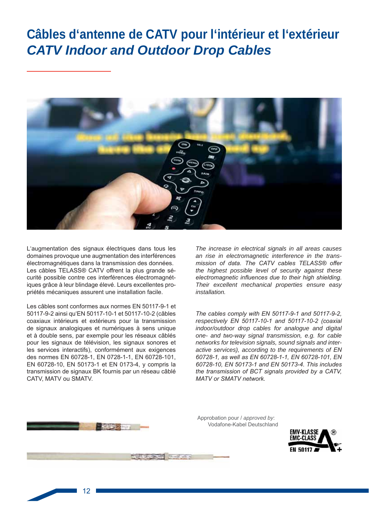# Câbles d'antenne de CATV pour l'intérieur et l'extérieur **CATV Indoor and Outdoor Drop Cables**



L'augmentation des signaux électriques dans tous les domaines provoque une augmentation des interférences électromagnétiques dans la transmission des données. Les câbles TELASS® CATV offrent la plus grande sécurité possible contre ces interférences électromagnétiques grâce à leur blindage élevé. Leurs excellentes propriétés mécaniques assurent une installation facile.

Les câbles sont conformes aux normes EN 50117-9-1 et 50117-9-2 ainsi qu'EN 50117-10-1 et 50117-10-2 (câbles coaxiaux intérieurs et extérieurs pour la transmission de signaux analogiques et numériques à sens unique et à double sens, par exemple pour les réseaux câblés pour les signaux de télévision, les signaux sonores et les services interactifs), conformément aux exigences des normes EN 60728-1, EN 0728-1-1, EN 60728-101, EN 60728-10, EN 50173-1 et EN 0173-4, y compris la transmission de signaux BK fournis par un réseau câblé CATV, MATV ou SMATV.

The increase in electrical signals in all areas causes an rise in electromagnetic interference in the transmission of data. The CATV cables TELASS® offer the highest possible level of security against these electromagnetic influences due to their high shielding. Their excellent mechanical properties ensure easy installation.

The cables comply with EN 50117-9-1 and 50117-9-2, respectively EN 50117-10-1 and 50117-10-2 (coaxial indoor/outdoor drop cables for analogue and digital one- and two-way signal transmission, e.g. for cable networks for television signals, sound signals and interactive services), according to the requirements of EN 60728-1, as well as EN 60728-1-1, EN 60728-101, EN 60728-10, EN 50173-1 and EN 50173-4. This includes the transmission of BCT signals provided by a CATV, **MATV or SMATV network.** 



Approbation pour / approved by: Vodafone-Kabel Deutschland



 $12$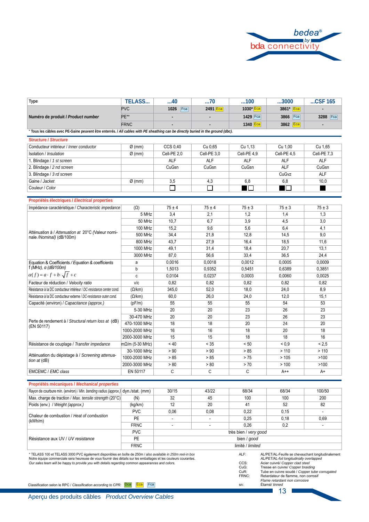

| <b>Type</b>                                                                                                                       | <b>TELASS</b> | …40            | 70             | 100         | 3000         | $$ CSF 165     |
|-----------------------------------------------------------------------------------------------------------------------------------|---------------|----------------|----------------|-------------|--------------|----------------|
| Numéro de produit / Product number                                                                                                | <b>PVC</b>    | Fca<br>1026    | 2491 Eca       | $1030*$ Eca | 3861*<br>Eca | $\blacksquare$ |
|                                                                                                                                   | PE**          | $\blacksquare$ | $\blacksquare$ | 1429 Fca    | 3866<br>Fca  | 3288<br>Fca    |
|                                                                                                                                   | <b>FRNC</b>   | $\blacksquare$ | $\blacksquare$ | 1340 Eca    | 3862 Eca     | $\blacksquare$ |
| * Tous les câbles avec PE-Gaine peuvent être enterrés. / All cables with PE sheathing can be directly buried in the ground (dbc). |               |                |                |             |              |                |

Structure / Structure

| <u>ou utule pouvulue</u>               |                    |             |             |             |                |             |
|----------------------------------------|--------------------|-------------|-------------|-------------|----------------|-------------|
| Conducteur intérieur / Inner conductor | $\varnothing$ (mm) | CCS 0.40    | Cu 0.65     | Cu 1.13     | Cu 1.00        | Cu 1.65     |
| Isolation / Insulation                 | $\varnothing$ (mm) | Cell-PE 2.0 | Cell-PE 3.0 | Cell-PE 4.9 | Cell-PE 4.5    | Cell-PE 7,3 |
| Blindage / 1 st screen                 |                    | <b>ALF</b>  | <b>ALF</b>  | <b>ALF</b>  | <b>ALF</b>     | <b>ALF</b>  |
| 2. Blindage / 2 nd screen              |                    | CuGsn       | CuGsn       | CuGsn       | <b>ALF</b>     | CuGsn       |
| 3. Blindage / 3 rd screen              |                    |             |             |             | CuGvz          | <b>ALF</b>  |
| Gaine / Jacket                         | $\varnothing$ (mm) | 3,5         | 4,3         | 6,8         | 6,8            | 10,0        |
| Couleur / Color                        |                    |             |             | ∎⊡          | $\blacksquare$ |             |
|                                        |                    |             |             |             |                |             |

| Propriétés électriques / Electrical properties                                |                   |            |            |            |            |            |
|-------------------------------------------------------------------------------|-------------------|------------|------------|------------|------------|------------|
| Impédance caractéristique / Characteristic impedance                          | $(\Omega)$        | $75 \pm 4$ | $75 \pm 4$ | $75 \pm 3$ | $75 \pm 3$ | $75 \pm 3$ |
|                                                                               | 5 MHz             | 3,4        | 2,1        | 1.2        | 1.4        | 1,3        |
|                                                                               | 50 MHz            | 10.7       | 6.7        | 3,9        | 4,5        | 3,0        |
|                                                                               | <b>100 MHz</b>    | 15,2       | 9,6        | 5,6        | 6,4        | 4,1        |
| Atténuation à / Attenuation at 20°C (Valeur nomi-<br>nale /Nominal) (dB/100m) | 500 MHz           | 34,4       | 21,8       | 12,8       | 14,5       | 9,0        |
|                                                                               | 800 MHz           | 43,7       | 27,9       | 16,4       | 18,5       | 11,6       |
|                                                                               | 1000 MHz          | 49,1       | 31,4       | 18,4       | 20,7       | 13,1       |
|                                                                               | 3000 MHz          | 87,0       | 56,6       | 33,4       | 36,5       | 24,4       |
| Equation & Coefficients / Equation & coefficients                             | a                 | 0,0016     | 0,0018     | 0,0012     | 0,0005     | 0,0009     |
| $f(MHz)$ , a (dB/100m)                                                        | b                 | 1,5013     | 0,9352     | 0.5451     | 0,6389     | 0,3851     |
| $\alpha(f) = a \cdot f + b \cdot \sqrt{f} + c$                                | c                 | 0,0104     | 0,0237     | 0,0003     | 0,0060     | 0,0025     |
| Facteur de réduction / Velocity ratio                                         | V/c               | 0.82       | 0,82       | 0,82       | 0,82       | 0,82       |
| Résistance à la DC conducteur intérieur / DC-resistance center cond.          | $(\Omega/km)$     | 345,0      | 52,0       | 18,0       | 24,0       | 8,9        |
| Résistance à la DC conducteur externe / DC-resistance outer cond.             | $(\Omega/km)$     | 60,0       | 26.0       | 24,0       | 12,0       | 15,1       |
| Capacité (environ) / Capacitance (approx.)                                    | (pF/m)            | 55         | 55         | 55         | 54         | 53         |
|                                                                               | 5-30 MHz          | 20         | 20         | 23         | 26         | 23         |
|                                                                               | 30-470 MHz        | 20         | 20         | 23         | 26         | 23         |
| Perte de rendement à / Structural return loss at (dB)<br>(EN 50117)           | 470-1000 MHz      | 18         | 18         | 20         | 24         | 20         |
|                                                                               | 1000-2000 MHz     | 16         | 16         | 18         | 20         | 18         |
|                                                                               | 2000-3000 MHz     | 15         | 15         | 18         | 18         | 16         |
| Résistance de couplage / Transfer impedance                                   | $mΩ/m$ (5-30 MHz) | < 40       | < 35       | < 50       | ${}_{0.9}$ | < 2.5      |
|                                                                               | 30-1000 MHz       | > 90       | > 90       | > 85       | >110       | >110       |
| Atténuation du dépistage à / Screening attenua-<br>tion at $(dB)$             | 1000-2000 MHz     | > 85       | > 85       | > 75       | >105       | >100       |
|                                                                               | 2000-3000 MHz     | > 80       | > 80       | > 70       | > 100      | >100       |
| EMCEMC / EMC class                                                            | EN 50117          | C          | C          | C          | $A++$      | $A+$       |

### Propriétés mécaniques / Mechanical properties

| Rayon de courbure min. (environ) / Min. bending radius (approx.) dyn./stat. (mm) |             | 30/15                    | 43/22 | 68/34 | 68/34 | 100/50 |  |
|----------------------------------------------------------------------------------|-------------|--------------------------|-------|-------|-------|--------|--|
| Max. charge de traction / Max. tensile strength (20°C)                           | (N)         | 32                       | 45    | 100   | 100   | 200    |  |
| Poids (env.) / Weight (approx.)                                                  | (kg/km)     | 12                       | 20    | 41    | 52    | 82     |  |
| Chaleur de combustion / Heat of combustion<br>(kWh/m)                            | <b>PVC</b>  | 0,06                     | 0,08  | 0.22  | 0,15  |        |  |
|                                                                                  | <b>PE</b>   | $\overline{\phantom{0}}$ |       | 0.25  | 0.18  | 0,69   |  |
|                                                                                  | <b>FRNC</b> | $\overline{\phantom{0}}$ | ۰     | 0.26  | 0,2   |        |  |
| Résistance aux UV / UV resistance                                                | <b>PVC</b>  | très bien / very good    |       |       |       |        |  |
|                                                                                  | <b>PE</b>   | bien / good              |       |       |       |        |  |
|                                                                                  | <b>FRNC</b> | limité / limited         |       |       |       |        |  |

\* TELASS 100 et TELASS 3000 PVC également disponibles en boîte de 250m / also available in 250m reel-in box TELANS TO THE CHAND SOLUT PROTAGED IN THE SUBSECTION OF THE SUBSECTION OF A SUBSECTION OF A SUBSECTION OF SUBSECTION OF SUBSECTION OF SUBSECTION OF SUBSECTION OF SUBSECTION OF SUBSECTION OF SUBSECTION OF SUBSECTION OF SUBS

AL/PET/AL-Feuille se chevauchant longitudinalement AL/PET/AL-Feuille se chevauchant longitudinaleme<br>AL/PET/AL-Feuille ongitudinally overlapped<br>Acier cuivré/ Copper ciad steel<br>Tresse en cuivre/ Copper ciad steel<br>Tresse en cuivre soudé / Copper tube corrugated<br>Retardateur de CCS:<br>CuG:<br>CuR:<br>FRNC: Étamé/ tinned

Classification selon le RPC / Classification according to CPR: Dca Eca Fca

Aperçu des produits câbles Product Overview Cables

13

٦

ALF:

sn: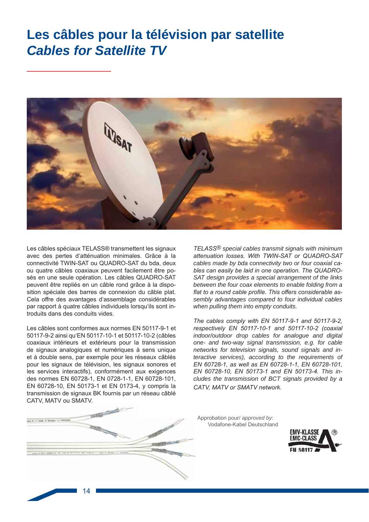### Les câbles pour la télévision par satellite **Cables for Satellite TV**



Les câbles spéciaux TELASS® transmettent les signaux avec des pertes d'atténuation minimales. Grâce à la connectivité TWIN-SAT ou QUADRO-SAT du bda, deux ou quatre câbles coaxiaux peuvent facilement être posés en une seule opération. Les câbles QUADRO-SAT peuvent être repliés en un câble rond grâce à la disposition spéciale des barres de connexion du câble plat. Cela offre des avantages d'assemblage considérables par rapport à quatre câbles individuels lorsqu'ils sont introduits dans des conduits vides.

Les câbles sont conformes aux normes EN 50117-9-1 et 50117-9-2 ainsi qu'EN 50117-10-1 et 50117-10-2 (câbles coaxiaux intérieurs et extérieurs pour la transmission de signaux analogiques et numériques à sens unique et à double sens, par exemple pour les réseaux câblés pour les signaux de télévision, les signaux sonores et les services interactifs), conformément aux exigences des normes EN 60728-1, EN 0728-1-1, EN 60728-101, EN 60728-10, EN 50173-1 et EN 0173-4, y compris la transmission de signaux BK fournis par un réseau câblé CATV, MATV ou SMATV.

TELASS<sup>®</sup> special cables transmit signals with minimum attenuation losses. With TWIN-SAT or QUADRO-SAT cables made by bda connectivity two or four coaxial cables can easily be laid in one operation. The QUADRO-SAT design provides a special arrangement of the links between the four coax elements to enable folding from a flat to a round cable profile. This offers considerable assembly advantages compared to four individual cables when pulling them into empty conduits.

The cables comply with EN 50117-9-1 and 50117-9-2, respectively EN 50117-10-1 and 50117-10-2 (coaxial indoor/outdoor drop cables for analogue and digital one- and two-way signal transmission, e.g. for cable networks for television signals, sound signals and interactive services), according to the requirements of EN 60728-1, as well as EN 60728-1-1, EN 60728-101. EN 60728-10, EN 50173-1 and EN 50173-4. This includes the transmission of BCT signals provided by a CATV. MATV or SMATV network.

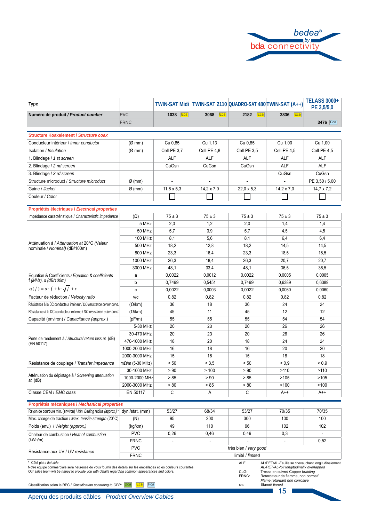

| Type                                                                                                                                                                                                                                                                                                                 |                        |                   |                   |                                 | TWIN-SAT Midi   TWIN-SAT 2110   QUADRO-SAT 480 TWIN-SAT (A++)                                                                                                                                                                       | <b>TELASS 3000+</b><br>PE 3,5/5,0 |
|----------------------------------------------------------------------------------------------------------------------------------------------------------------------------------------------------------------------------------------------------------------------------------------------------------------------|------------------------|-------------------|-------------------|---------------------------------|-------------------------------------------------------------------------------------------------------------------------------------------------------------------------------------------------------------------------------------|-----------------------------------|
| Numéro de produit / Product number                                                                                                                                                                                                                                                                                   | <b>PVC</b>             | 1038<br>Eca       | 3068<br>Eca       | 2182<br>Eca                     | 3836<br>Eca                                                                                                                                                                                                                         |                                   |
|                                                                                                                                                                                                                                                                                                                      | <b>FRNC</b>            |                   |                   |                                 |                                                                                                                                                                                                                                     | 3476 Fca                          |
| <b>Structure Koaxelement / Structure coax</b>                                                                                                                                                                                                                                                                        |                        |                   |                   |                                 |                                                                                                                                                                                                                                     |                                   |
| Conducteur intérieur / Inner conductor                                                                                                                                                                                                                                                                               |                        |                   |                   |                                 |                                                                                                                                                                                                                                     |                                   |
|                                                                                                                                                                                                                                                                                                                      | $(\emptyset$ mm)       | Cu 0,85           | Cu 1,13           | Cu 0.85                         | Cu 1,00                                                                                                                                                                                                                             | Cu 1,00                           |
| Isolation / Insulation                                                                                                                                                                                                                                                                                               | (Ø~mm)                 | Cell-PE 3,7       | Cell-PE 4,8       | Cell-PE 3,5                     | Cell-PE 4,5                                                                                                                                                                                                                         | Cell-PE 4,5                       |
| 1. Blindage / 1 st screen                                                                                                                                                                                                                                                                                            |                        | <b>ALF</b>        | <b>ALF</b>        | <b>ALF</b>                      | <b>ALF</b>                                                                                                                                                                                                                          | <b>ALF</b>                        |
| 2. Blindage / 2 nd screen                                                                                                                                                                                                                                                                                            |                        | CuGsn             | CuGsn             | CuGsn                           | <b>ALF</b>                                                                                                                                                                                                                          | <b>ALF</b>                        |
| 3. Blindage / 3 rd screen                                                                                                                                                                                                                                                                                            |                        |                   |                   |                                 | CuGsn                                                                                                                                                                                                                               | CuGsn                             |
| Structure microduct / Structure microduct                                                                                                                                                                                                                                                                            | $\varnothing$ (mm)     |                   |                   |                                 |                                                                                                                                                                                                                                     | PE 3,50 / 5,00                    |
| Gaine / Jacket                                                                                                                                                                                                                                                                                                       | $\varnothing$ (mm)     | $11,6 \times 5,3$ | $14.2 \times 7.0$ | $22.0 \times 5.3$               | $14,2 \times 7,0$                                                                                                                                                                                                                   | $14,7 \times 7,2$                 |
| Couleur / Color                                                                                                                                                                                                                                                                                                      |                        |                   |                   |                                 |                                                                                                                                                                                                                                     |                                   |
| Propriétés électriques / Electrical properties                                                                                                                                                                                                                                                                       |                        |                   |                   |                                 |                                                                                                                                                                                                                                     |                                   |
| Impédance caractéristique / Characteristic impedance                                                                                                                                                                                                                                                                 | $(\Omega)$             | $75 \pm 3$        | $75 \pm 3$        | $75 \pm 3$                      | $75 \pm 3$                                                                                                                                                                                                                          | $75 \pm 3$                        |
|                                                                                                                                                                                                                                                                                                                      | 5 MHz                  | 2,0               | 1,2               | 2,0                             | 1,4                                                                                                                                                                                                                                 | 1,4                               |
|                                                                                                                                                                                                                                                                                                                      | 50 MHz                 | 5,7               | 3,9               | 5,7                             | 4,5                                                                                                                                                                                                                                 | 4,5                               |
|                                                                                                                                                                                                                                                                                                                      | <b>100 MHz</b>         | 8,1               | 5,6               | 8,1                             | 6,4                                                                                                                                                                                                                                 | 6,4                               |
| Atténuation à / Attenuation at 20°C (Valeur                                                                                                                                                                                                                                                                          | 500 MHz                | 18,2              | 12,8              | 18,2                            | 14,5                                                                                                                                                                                                                                | 14,5                              |
| nominale / Nominal) (dB/100m)                                                                                                                                                                                                                                                                                        | 800 MHz                | 23,3              | 16,4              | 23,3                            | 18,5                                                                                                                                                                                                                                | 18,5                              |
|                                                                                                                                                                                                                                                                                                                      | 1000 MHz               | 26,3              | 18,4              | 26,3                            | 20,7                                                                                                                                                                                                                                | 20,7                              |
|                                                                                                                                                                                                                                                                                                                      | 3000 MHz               | 48,1              | 33,4              | 48,1                            | 36,5                                                                                                                                                                                                                                | 36,5                              |
| Equation & Coefficients / Equation & coefficients                                                                                                                                                                                                                                                                    | a                      | 0,0022            | 0,0012            | 0,0022                          | 0,0005                                                                                                                                                                                                                              | 0,0005                            |
| $f(MHz)$ , $\alpha$ (dB/100m)                                                                                                                                                                                                                                                                                        | b                      | 0,7499            | 0,5451            | 0,7499                          | 0,6389                                                                                                                                                                                                                              | 0,6389                            |
| $\alpha(f) = a \cdot f + b \cdot \sqrt{f} + c$                                                                                                                                                                                                                                                                       | c                      | 0,0022            | 0,0003            | 0,0022                          | 0,0060                                                                                                                                                                                                                              | 0,0060                            |
| Facteur de réduction / Velocity ratio                                                                                                                                                                                                                                                                                | v/c                    | 0,82              | 0,82              | 0,82                            | 0,82                                                                                                                                                                                                                                | 0,82                              |
| Résistance à la DC conducteur intérieur / DC-resistance center cond.                                                                                                                                                                                                                                                 | $(\Omega/km)$          | 36                | 18                | 36                              | 24                                                                                                                                                                                                                                  | 24                                |
| Résistance à la DC conducteur externe / DC-resistance outer cond.                                                                                                                                                                                                                                                    | $(\Omega/km)$          | 45                | 11                | 45                              | 12                                                                                                                                                                                                                                  | 12                                |
| Capacité (environ) / Capacitance (approx.)                                                                                                                                                                                                                                                                           | (pF/m)                 | 55                | 55                | 55                              | 54                                                                                                                                                                                                                                  | 54                                |
|                                                                                                                                                                                                                                                                                                                      | 5-30 MHz               | 20                | 23                | 20                              | 26                                                                                                                                                                                                                                  | 26                                |
|                                                                                                                                                                                                                                                                                                                      | 30-470 MHz             | 20                | 23                | 20                              | 26                                                                                                                                                                                                                                  | 26                                |
| Perte de rendement à / Structural return loss at (dB)<br>(EN 50117)                                                                                                                                                                                                                                                  | 470-1000 MHz           | 18                | 20                | 18                              | 24                                                                                                                                                                                                                                  | 24                                |
|                                                                                                                                                                                                                                                                                                                      | 1000-2000 MHz          | 16                | 18                | 16                              | 20                                                                                                                                                                                                                                  | 20                                |
|                                                                                                                                                                                                                                                                                                                      | 2000-3000 MHz          | 15                | 16                | 15                              | 18                                                                                                                                                                                                                                  | 18                                |
| Résistance de couplage / Transfer impedance                                                                                                                                                                                                                                                                          | $m\Omega/m$ (5-30 MHz) | < 50              | < 3.5             | < 50                            | ${}_{0.9}$                                                                                                                                                                                                                          | ${}_{0.9}$                        |
|                                                                                                                                                                                                                                                                                                                      | 30-1000 MHz            | > 90              | >100              | > 90                            | >110                                                                                                                                                                                                                                | >110                              |
| Atténuation du dépistage à / Screening attenuation<br>at (dB)                                                                                                                                                                                                                                                        | 1000-2000 MHz          | > 85              | > 90              | > 85                            | >105                                                                                                                                                                                                                                | >105                              |
|                                                                                                                                                                                                                                                                                                                      | 2000-3000 MHz          | > 80              | > 85              | > 80                            | >100                                                                                                                                                                                                                                | >100                              |
| Classe CEM / EMC class                                                                                                                                                                                                                                                                                               | EN 50117               | C                 | Α                 | C                               | $A++$                                                                                                                                                                                                                               | A++                               |
| Propriétés mécaniques / Mechanical properties                                                                                                                                                                                                                                                                        |                        |                   |                   |                                 |                                                                                                                                                                                                                                     |                                   |
| Rayon de courbure min. (environ) / Min. Beding radius (approx.)*                                                                                                                                                                                                                                                     | dyn./stat. (mm)        | 53/27             | 68/34             | 53/27                           | 70/35                                                                                                                                                                                                                               | 70/35                             |
| Max. charge de traction / Max. tensile strength (20°C)                                                                                                                                                                                                                                                               | (N)                    | 95                | 200               | 300                             | 100                                                                                                                                                                                                                                 | 100                               |
| Poids (env.) / Weight (approx.)                                                                                                                                                                                                                                                                                      | (kg/km)                | 49                | 110               | 96                              | 102                                                                                                                                                                                                                                 | 102                               |
| Chaleur de combustion / Heat of combustion                                                                                                                                                                                                                                                                           | <b>PVC</b>             | 0,26              | 0,46              | 0,49                            | 0,3                                                                                                                                                                                                                                 | $\mathbf{r}$                      |
| (kWh/m)                                                                                                                                                                                                                                                                                                              | <b>FRNC</b>            | $\overline{a}$    | ä,                |                                 | $\blacksquare$                                                                                                                                                                                                                      | 0,52                              |
|                                                                                                                                                                                                                                                                                                                      | <b>PVC</b>             |                   |                   | très bien / very good           |                                                                                                                                                                                                                                     |                                   |
| Résistance aux UV / UV resistance                                                                                                                                                                                                                                                                                    | <b>FRNC</b>            |                   |                   | limité / limited                |                                                                                                                                                                                                                                     |                                   |
| Côté plat / flat side<br>Notre équipe commerciale sera heureuse de vous fournir des détails sur les emballages et les couleurs courantes.<br>Our sales team will be happy to provide you with details regarding common appearances and colors.<br>Classification selon le RPC / Classification according to CPR: Dca | Fca<br>Eca             |                   |                   | ALF:<br>$CuG$ :<br>FRNC:<br>sn: | AL/PET/AL-Feuille se chevauchant longitudinalement<br>AL/PET/AL-foil longitudinally overlapped<br>Tresse en cuivre/ Copper braiding<br>Retardateur de flamme, non corrosif<br>Flame retardant non corrosive<br>Étamé/ <i>tinned</i> |                                   |
|                                                                                                                                                                                                                                                                                                                      |                        |                   |                   |                                 | 15                                                                                                                                                                                                                                  |                                   |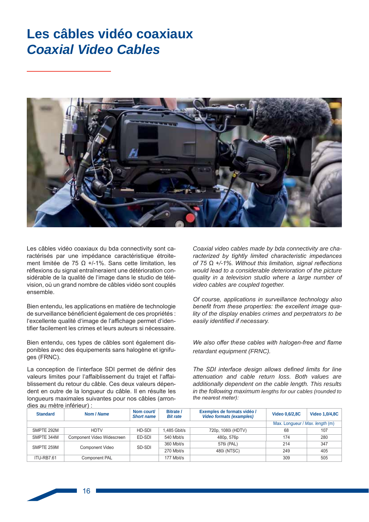### Les câbles vidéo coaxiaux **Coaxial Video Cables**



Les câbles vidéo coaxiaux du bda connectivity sont caractérisés par une impédance caractéristique étroitement limitée de 75  $\Omega$  +/-1%. Sans cette limitation. les réflexions du signal entraîneraient une détérioration considérable de la qualité de l'image dans le studio de télévision, où un grand nombre de câbles vidéo sont couplés ensemble.

Bien entendu, les applications en matière de technologie de surveillance bénéficient également de ces propriétés : l'excellente qualité d'image de l'affichage permet d'identifier facilement les crimes et leurs auteurs si nécessaire.

Bien entendu, ces types de câbles sont également disponibles avec des équipements sans halogène et jonifuges (FRNC).

La conception de l'interface SDI permet de définir des valeurs limites pour l'affaiblissement du trajet et l'affaiblissement du retour du câble. Ces deux valeurs dépendent en outre de la longueur du câble. Il en résulte les longueurs maximales suivantes pour nos câbles (arrondies au mètre inférieur) :

Coaxial video cables made by bda connectivity are characterized by tightly limited characteristic impedances of 75  $\Omega$  +/-1%. Without this limitation, signal reflections would lead to a considerable deterioration of the picture quality in a television studio where a large number of video cables are coupled together.

Of course, applications in surveillance technology also benefit from these properties: the excellent image quality of the display enables crimes and perpetrators to be easily identified if necessary.

We also offer these cables with halogen-free and flame retardant equipment (FRNC).

The SDI interface design allows defined limits for line attenuation and cable return loss. Both values are additionally dependent on the cable length. This results in the following maximum lengths for our cables (rounded to the nearest meter):

| <b>Standard</b> | Nom / Name                 | Nom court/<br><b>Short name</b> | <b>Bitrate /</b><br><b>Bit rate</b> | Exemples de formats vidéo /<br><b>Video formats (examples)</b> | <b>Video 0,6/2,8C</b>           | <b>Video 1,0/4,8C</b> |
|-----------------|----------------------------|---------------------------------|-------------------------------------|----------------------------------------------------------------|---------------------------------|-----------------------|
|                 |                            |                                 |                                     |                                                                | Max. Longueur / Max. length (m) |                       |
| SMPTE 292M      | <b>HDTV</b>                | HD-SDI                          | 1.485 Gbit/s                        | 720p, 1080i (HDTV)                                             | 68                              | 107                   |
| SMPTE 344M      | Component Video Widescreen | ED-SDI                          | 540 Mbit/s                          | 480p, 576p                                                     | 174                             | 280                   |
| SMPTE 259M      | <b>Component Video</b>     | SD-SDI                          | 360 Mbit/s                          | 576i (PAL)                                                     | 214                             | 347                   |
|                 |                            |                                 | 270 Mbit/s                          | 480i (NTSC)                                                    | 249                             | 405                   |
| ITU-RB7.61      | <b>Component PAL</b>       |                                 | 177 Mbit/s                          |                                                                | 309                             | 505                   |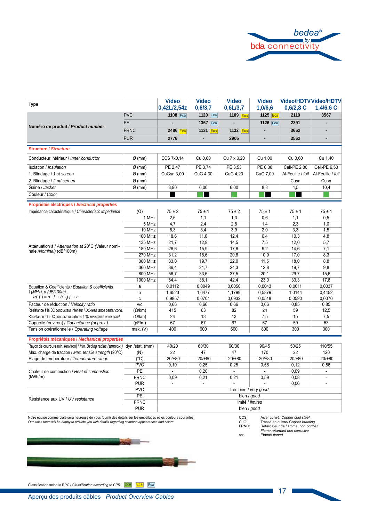

| <b>Type</b>                                                                     |                                  | <b>Video</b><br>0,42L/2,54z | <b>Video</b><br>0,6/3,7 | <b>Video</b><br>0,6L/3,7 | <b>Video</b><br>1,0/6,6 | <b>Video/HDTV Video/HDTV</b><br>$0,6/2,8$ C | $1,4/6,6$ C       |
|---------------------------------------------------------------------------------|----------------------------------|-----------------------------|-------------------------|--------------------------|-------------------------|---------------------------------------------|-------------------|
|                                                                                 | <b>PVC</b>                       | 1108 Fca                    | 1120 Fca                | 1109 Eca                 | 1125 Eca                | 2110                                        | 3567              |
|                                                                                 | PE                               |                             | 1367 Fca                |                          | 1126 Fca                | 2391                                        |                   |
| Numéro de produit / Product number                                              | <b>FRNC</b>                      |                             |                         |                          | ٠                       | 3662                                        |                   |
|                                                                                 |                                  | 2486 Eca                    | 1131 Eca                | 1132 Eca                 |                         |                                             |                   |
|                                                                                 | <b>PUR</b>                       | 2776                        |                         | 2905                     | ٠                       | 3562                                        |                   |
| <b>Structure / Structure</b>                                                    |                                  |                             |                         |                          |                         |                                             |                   |
| Conducteur intérieur / Inner conductor                                          | $Ø$ (mm)                         | CCS 7x0,14                  | Cu 0,60                 | Cu 7 x 0,20              | Cu 1,00                 | Cu 0.60                                     | Cu 1,40           |
| Isolation / Insulation                                                          | $Ø$ (mm)                         | PE 2,47                     | PE 3,74                 | PE 3,53                  | PE 6,38                 | Cell-PE 2,80                                | Cell-PE 6,50      |
| 1. Blindage / 1 st screen                                                       | $Ø$ (mm)                         | CuGsn 3,00                  | CuG 4,30                | CuG 4,20                 | CuG 7,00                | Al-Feuille / foil                           | Al-Feuille / foil |
| 2. Blindage / 2 nd screen                                                       | $\varnothing$ (mm)               |                             |                         |                          |                         | Cusn                                        | Cusn              |
| Gaine / Jacket                                                                  | $Ø$ (mm)                         | 3,90                        | 6,00                    | 6,00                     | 8,8                     | 4,5                                         | 10,4              |
| Couleur / Color                                                                 |                                  |                             |                         |                          |                         |                                             |                   |
|                                                                                 |                                  |                             |                         |                          |                         |                                             |                   |
| Propriétés électriques / Electrical properties                                  |                                  |                             |                         |                          |                         |                                             |                   |
| Impédance caractéristique / Characteristic impedance                            | $(\Omega)$                       | $75 \pm 2$                  | $75 \pm 1$              | $75 \pm 2$               | $75 \pm 1$              | $75 \pm 1$                                  | $75 \pm 1$        |
|                                                                                 | 1 MHz<br>5 MHz                   | 2,6<br>4,7                  | 1,1<br>2,4              | 1,3<br>2,8               | 0,6<br>1,4              | 1,1<br>2,3                                  | 0,5<br>1,0        |
|                                                                                 | 10 MHz                           |                             | 3.4                     |                          |                         |                                             |                   |
|                                                                                 |                                  | 6,3                         |                         | 3,9                      | 2,0                     | 3,3                                         | 1,5               |
| Atténuation à / Attenuation at 20°C (Valeur nomi-<br>nale /Nominal) (dB/100m)   | <b>100 MHz</b>                   | 18,6                        | 11,0                    | 12,4                     | 6,4                     | 10,3                                        | 4,8               |
|                                                                                 | 135 MHz                          | 21,7                        | 12,9                    | 14,5                     | 7,5                     | 12,0                                        | 5,7               |
|                                                                                 | <b>180 MHz</b><br><b>270 MHz</b> | 26,6<br>31,2                | 15,9<br>18,6            | 17,8<br>20,8             | 9,2<br>10,9             | 14,6<br>17,0                                | 7,1<br>8,3        |
|                                                                                 | 300 MHz                          | 33,0                        | 19,7                    | 22,0                     | 11,5                    | 18,0                                        | 8,8               |
|                                                                                 | 360 MHz                          | 36,4                        | 21,7                    | 24,3                     | 12,8                    | 19.7                                        | 9.8               |
|                                                                                 | 800 MHz                          | 56.7                        | 33,6                    | 37,5                     | 20.1                    | 29.7                                        | 15,6              |
|                                                                                 | 1000 MHz                         | 64,4                        | 38,1                    | 42,4                     | 23,0                    | 33,3                                        | 17,8              |
|                                                                                 | a                                | 0,0112                      | 0,0049                  | 0,0050                   | 0,0043                  | 0,0011                                      | 0,0037            |
| Equation & Coefficients / Equation & coefficients<br>f (MHz), α (dB/100m)       | b                                | 1,6523                      | 1,0477                  | 1,1799                   | 0,5879                  | 1,0144                                      | 0,4452            |
| $\alpha(f) = a \cdot f + b \cdot \sqrt{f} + c$                                  | $\mathbf{C}$                     | 0,9857                      | 0,0701                  | 0,0932                   | 0,0518                  | 0,0590                                      | 0,0070            |
| Facteur de réduction / Velocity ratio                                           | V/C                              | 0,66                        | 0,66                    | 0,66                     | 0,66                    | 0,85                                        | 0,85              |
| Résistance à la DC conducteur intérieur / DC-resistance center cond.            | $(\Omega/km)$                    | 415                         | 63                      | 82                       | 24                      | 59                                          | 12,5              |
| Résistance à la DC conducteur externe / DC-resistance outer cond.               | $(\Omega/km)$                    | 24                          | 13                      | 13                       | 7,5                     | 15                                          | 7,5               |
| Capacité (environ) / Capacitance (approx.)                                      | (pF/m)                           | 67                          | 67                      | 67                       | 67                      | 59                                          | 53                |
| Tension opérationnelle / Operating voltage                                      | max. (V)                         | 400                         | 600                     | 600                      | 800                     | 300                                         | 300               |
|                                                                                 |                                  |                             |                         |                          |                         |                                             |                   |
| Propriétés mécaniques / Mechanical properties                                   |                                  |                             |                         |                          |                         |                                             |                   |
| Rayon de courbure min. (environ) / Min. Beding radius (approx.) dyn./stat. (mm) |                                  | 40/20                       | 60/30                   | 60/30                    | 90/45                   | 50/25                                       | 110/55            |
| Max. charge de traction / Max. tensile strength (20°C)                          | (N)                              | 22                          | 47                      | 47                       | 170                     | 32                                          | 120               |
| Plage de température / Temperature range                                        | $(^{\circ}C)$                    | $-20/+80$                   | $-20/+80$               | $-20/+80$                | $-20/+80$               | $-20/+80$                                   | $-20/+80$         |
|                                                                                 | <b>PVC</b>                       | 0,10                        | 0,25                    | 0,25                     | 0,56                    | 0,12                                        | 0,56              |
| Chaleur de combustion / Heat of combustion                                      | <b>PE</b>                        | $\mathbf{r}$                | 0,20                    | $\mathbf{r}$             | $\sim$                  | 0,09                                        | $\overline{a}$    |
| (kWh/m)                                                                         | <b>FRNC</b>                      | 0,09                        | 0,21                    | 0,21                     | 0,59                    | 0.08                                        | $\blacksquare$    |
|                                                                                 | <b>PUR</b>                       | $\sim$                      | $\sim$                  |                          |                         | 0,06                                        | ÷,                |
|                                                                                 | <b>PVC</b>                       |                             |                         | très bien / very good    |                         |                                             |                   |
| Résistance aux UV / UV resistance                                               | PE                               |                             |                         | bien / good              |                         |                                             |                   |
|                                                                                 | <b>FRNC</b>                      |                             |                         | limité / limited         |                         |                                             |                   |
|                                                                                 | <b>PUR</b>                       |                             |                         | bien / good              |                         |                                             |                   |

Notre équipe commerciale sera heureuse de vous fournir des détails sur les emballages et les couleurs courantes.<br>Our sales team will be happy to provide you with details regarding common appearances and colors.

- CCS:<br>CuG:<br>FRNC:
- Acier cuivré/ Copper clad steel<br>Tresse en cuivre/ Copper braiding<br>Retardateur de flamme, non corrosif<br>Flame retardant non corrosive<br>Étamé/ tinned

sn:

 $\mathcal{L}(\mathcal{L}) = \mathcal{L}(\mathcal{L})$ 



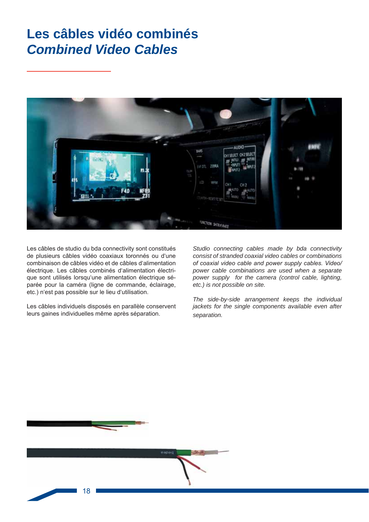## **Les câbles vidéo combinés** *Combined Video Cables*



Les câbles de studio du bda connectivity sont constitués de plusieurs câbles vidéo coaxiaux toronnés ou d'une combinaison de câbles vidéo et de câbles d'alimentation électrique. Les câbles combinés d'alimentation électrique sont utilisés lorsqu'une alimentation électrique séparée pour la caméra (ligne de commande, éclairage, etc.) n'est pas possible sur le lieu d'utilisation.

Les câbles individuels disposés en parallèle conservent leurs gaines individuelles même après séparation.

*Studio connecting cables made by bda connectivity consist of stranded coaxial video cables or combinations*  of coaxial video cable and power supply cables. Video/ *power cable combinations are used when a separate power supply for the camera (control cable, lighting, etc.) is not possible on site.* 

*The side-by-side arrangement keeps the individual jackets for the single components available even after separation.*

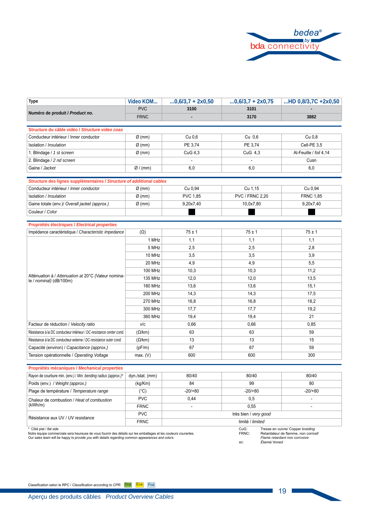

| <b>Type</b>                                                           | Video KOM          | $0,6/3,7 + 2x0,50$ | $0,6/3,7 + 2x0,75$     | HD 0,8/3,7C +2x0,50    |
|-----------------------------------------------------------------------|--------------------|--------------------|------------------------|------------------------|
| Numéro de produit / Product no.                                       | <b>PVC</b>         | 3100               | 3101                   |                        |
|                                                                       | <b>FRNC</b>        |                    | 3170                   | 3882                   |
|                                                                       |                    |                    |                        |                        |
| Structure du câble vidéo / Structure video coax                       |                    |                    |                        |                        |
| Conducteur intérieur / Inner conductor                                | $\varnothing$ (mm) | Cu 0.6             | Cu 0,6                 | Cu 0,8                 |
| Isolation / Insulation                                                | $Ø$ (mm)           | PE 3,74            | PE 3,74                | Cell-PE 3,5            |
| 1. Blindage / 1 st screen                                             | $Ø$ (mm)           | CuG 4,3            | CuG 4,3                | Al-Feuille / foil 4,14 |
| 2. Blindage / 2 nd screen                                             |                    |                    |                        | Cusn                   |
| Gaine / Jacket                                                        | Ø/(mm)             | 6,0                | 6,0                    | 6,0                    |
| Structure des lignes supplémentaires / Structure of additional cables |                    |                    |                        |                        |
| Conducteur intérieur / Inner conductor                                | $Ø$ (mm)           | Cu 0,94            | Cu 1,15                | Cu 0,94                |
| Isolation / Insulation                                                | $Ø$ (mm)           | PVC 1,85           | <b>PVC / FRNC 2,20</b> | <b>FRNC 1,85</b>       |
| Gaine totale (env.)/ Overall jacket (approx.)                         | $Ø$ (mm)           | 9,20x7,40          | 10,0x7,80              | 9,20x7,40              |
| Couleur / Color                                                       |                    |                    |                        |                        |
|                                                                       |                    |                    |                        |                        |
| Propriétés électriques / Electrical properties                        |                    |                    |                        |                        |
| Impédance caractéristique / Characteristic impedance                  | $(\Omega)$         | $75 \pm 1$         | $75 \pm 1$             | $75 \pm 1$             |
|                                                                       | 1 MHz              | 1,1                | 1,1                    | 1,1                    |
|                                                                       | 5 MHz              | 2,5                | 2,5                    | 2,8                    |
|                                                                       | 10 MHz             | 3,5                | 3,5                    | 3,9                    |
|                                                                       | 20 MHz             | 4,9                | 4,9                    | 5,5                    |
| Atténuation à / Attenuation at 20°C (Valeur nomina-                   | <b>100 MHz</b>     | 10,3               | 10,3                   | 11,2                   |
| le / nominal) (dB/100m)                                               | 135 MHz            | 12,0               | 12,0                   | 13,5                   |
|                                                                       | <b>180 MHz</b>     | 13,6               | 13,6                   | 15,1                   |
|                                                                       | <b>200 MHz</b>     | 14,3               | 14,3                   | 17,5                   |
|                                                                       | <b>270 MHz</b>     | 16,8               | 16,8                   | 18,2                   |
|                                                                       | 300 MHz            | 17,7               | 17,7                   | 19,2                   |
|                                                                       | 360 MHz            | 19,4               | 19,4                   | 21                     |
| Facteur de réduction / Velocity ratio                                 | V/C                | 0,66               | 0.66                   | 0,85                   |
| Résistance à la DC conducteur intérieur / DC-resistance center cond.  | $(\Omega/km)$      | 63                 | 63                     | 59                     |
| Résistance à la DC conducteur externe / DC-resistance outer cond.     | $(\Omega/km)$      | 13                 | 13                     | 15                     |
| Capacité (environ) / Capacitance (approx.)                            | (pF/m)             | 67                 | 67                     | 59                     |
| Tension opérationnelle / Operating Voltage                            | max. (V)           | 600                | 600                    | 300                    |

#### Propriétés mécaniques / Mechanical properties Rayon de courbure min. (env.) / Min. bending radius (approx.)\* dyn./stat. (mm) 80/40 80/40 80/40  $\overline{(kg/Km)}$ Poids (env.) / Weight (approx.)  $\overline{84}$ 99  $\overline{80}$  $-20/80$  $-20/80$ Plage de température / Temperature range  $-20/+80$  $(^{\circ}C)$  $PVC$  $0.44$  $\overline{0.5}$  $\overline{\phantom{a}}$ Chaleur de combustion / Heat of combustion  $(kWh/m)$ FRNC  $0,55$  $\mathcal{L}$  $\overline{a}$ **PVC** très bien / very good Résistance aux UV / UV resistance FRNC limité / limited

\* Côté plat / flat side<br>Notre équipe commerciale sera heureuse de vous fournir des détails sur les emballages et les couleurs courantes. Our sales team will be happy to provide you with details regarding common appearances and colors.

CuG:<br>FRNC: Tresse en cuivre/ Copper braiding<br>Retardateur de flamme, non corrosif

Flame retardant non corrosive<br>Étamé/ tinned sn:

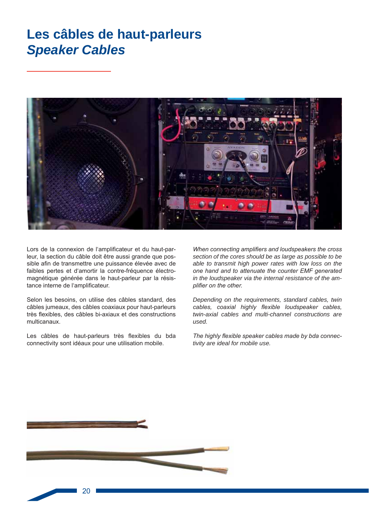### Les câbles de haut-parleurs **Speaker Cables**



Lors de la connexion de l'amplificateur et du haut-parleur, la section du câble doit être aussi grande que possible afin de transmettre une puissance élevée avec de faibles pertes et d'amortir la contre-fréquence électromagnétique générée dans le haut-parleur par la résistance interne de l'amplificateur.

Selon les besoins, on utilise des câbles standard, des câbles jumeaux, des câbles coaxiaux pour haut-parleurs très flexibles, des câbles bi-axiaux et des constructions multicanaux.

Les câbles de haut-parleurs très flexibles du bda connectivity sont idéaux pour une utilisation mobile.

When connecting amplifiers and loudspeakers the cross section of the cores should be as large as possible to be able to transmit high power rates with low loss on the one hand and to attenuate the counter EMF generated in the loudspeaker via the internal resistance of the amplifier on the other.

Depending on the requirements, standard cables, twin cables, coaxial highly flexible loudspeaker cables, twin-axial cables and multi-channel constructions are used.

The highly flexible speaker cables made by bda connectivity are ideal for mobile use.

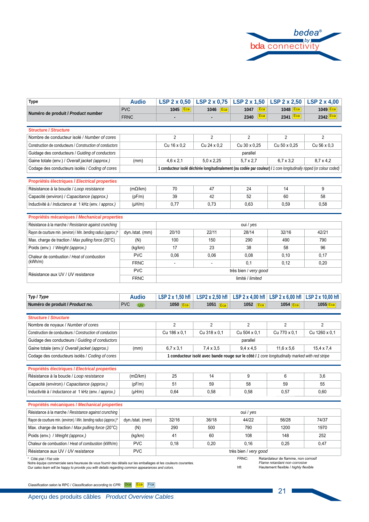

| <b>Type</b>                                                                                                                                                                                                                                    | <b>Audio</b>            | $LSP$ 2 x 0,50   | $LSP$ 2 x 0,75    | $LSP$ 2 x 1,50                                                                                                        | <b>LSP 2 x 2,50</b>                                                  | LSP $2 \times 4,00$   |
|------------------------------------------------------------------------------------------------------------------------------------------------------------------------------------------------------------------------------------------------|-------------------------|------------------|-------------------|-----------------------------------------------------------------------------------------------------------------------|----------------------------------------------------------------------|-----------------------|
| Numéro de produit / Product number                                                                                                                                                                                                             | <b>PVC</b>              | $1045$ Eca       | 1046 Eca          | 1047<br>Eca                                                                                                           | 1048 Eca                                                             | $1049$ Eca            |
|                                                                                                                                                                                                                                                | <b>FRNC</b>             |                  |                   | 2340<br>Eca                                                                                                           | 2341 Eca                                                             | 2342 $ Eca $          |
| <b>Structure / Structure</b>                                                                                                                                                                                                                   |                         |                  |                   |                                                                                                                       |                                                                      |                       |
| Nombre de conducteur isolé / Number of cores                                                                                                                                                                                                   |                         | $\overline{2}$   | $\overline{2}$    | $\overline{2}$                                                                                                        | $\overline{2}$                                                       | 2                     |
| Construction de conducteurs / Construction of conductors                                                                                                                                                                                       |                         | Cu 16 x 0.2      | Cu 24 x 0.2       | Cu 30 x 0.25                                                                                                          | Cu 50 x 0,25                                                         | Cu 56 x 0.3           |
| Guidage des conducteurs / Guiding of conductors                                                                                                                                                                                                |                         |                  |                   | parallel                                                                                                              |                                                                      |                       |
| Gaine totale (env.) / Overall jacket (approx.)                                                                                                                                                                                                 | (mm)                    | $4,6 \times 2,1$ | $5.0 \times 2.25$ | $5.7 \times 2.7$                                                                                                      | $6,7 \times 3,2$                                                     | $8,7 \times 4,2$      |
| Codage des conducteurs isolés / Coding of cores                                                                                                                                                                                                |                         |                  |                   | 1 conducteur isolé déchirée longitudinalement (ou codée par couleur) / 1 core longitudinally ripped (or colour coded) |                                                                      |                       |
|                                                                                                                                                                                                                                                |                         |                  |                   |                                                                                                                       |                                                                      |                       |
| Propriétés électriques / Electrical properties                                                                                                                                                                                                 |                         |                  |                   |                                                                                                                       |                                                                      |                       |
| Résistance à la boucle / Loop resistance                                                                                                                                                                                                       | $(m\Omega/km)$          | 70               | 47                | 24                                                                                                                    | 14                                                                   | 9                     |
| Capacité (environ) / Capacitance (approx.)                                                                                                                                                                                                     | (pF/m)                  | 39               | 42                | 52                                                                                                                    | 60                                                                   | 58                    |
| Inductivité à / Inductance at 1 kHz (env. / approx.)                                                                                                                                                                                           | $(\mu H/m)$             | 0,77             | 0,73              | 0,63                                                                                                                  | 0,59                                                                 | 0,58                  |
| Propriétés mécaniques / Mechanical properties                                                                                                                                                                                                  |                         |                  |                   |                                                                                                                       |                                                                      |                       |
| Résistance à la marche / Resistance against crunching                                                                                                                                                                                          |                         |                  |                   | oui / yes                                                                                                             |                                                                      |                       |
| Rayon de courbure min. (environ) / Min. bending radius (approx.)*                                                                                                                                                                              | dyn./stat. (mm)         | 20/10            | 22/11             | 28/14                                                                                                                 | 32/16                                                                | 42/21                 |
| Max. charge de traction / Max pulling force (20°C)                                                                                                                                                                                             | (N)                     | 100              | 150               | 290                                                                                                                   | 490                                                                  | 790                   |
| Poids (env.) / Weight (approx.)                                                                                                                                                                                                                | (kg/km)                 | 17               | 23                | 38                                                                                                                    | 58                                                                   | 96                    |
| Chaleur de combustion / Heat of combustion                                                                                                                                                                                                     | <b>PVC</b>              | 0.06             | 0,06              | 0,08                                                                                                                  | 0,10                                                                 | 0,17                  |
| (kWh/m)                                                                                                                                                                                                                                        | <b>FRNC</b>             |                  |                   | 0,1                                                                                                                   | 0,12                                                                 | 0,20                  |
|                                                                                                                                                                                                                                                | <b>PVC</b>              |                  |                   | très bien / very good                                                                                                 |                                                                      |                       |
| Résistance aux UV / UV resistance<br><b>FRNC</b><br>limité / limited                                                                                                                                                                           |                         |                  |                   |                                                                                                                       |                                                                      |                       |
|                                                                                                                                                                                                                                                |                         |                  |                   |                                                                                                                       |                                                                      |                       |
| Typ / Type                                                                                                                                                                                                                                     | <b>Audio</b>            | LSP 2 x 1,50 hfl | LSP2 x 2,50 hfl   | LSP 2 x 4,00 hfl                                                                                                      | LSP $2 \times 6,00$ hfl                                              | LSP 2 x 10,00 hfl     |
| Numéro de produit / Product no.                                                                                                                                                                                                                | <b>PVC</b><br><b>UV</b> | 1050 Eca         | 1051 $Eca$        | 1052 $Eca$                                                                                                            | 1054 $Eca$                                                           | $1055$ <sub>Eca</sub> |
|                                                                                                                                                                                                                                                |                         |                  |                   |                                                                                                                       |                                                                      |                       |
| <b>Structure / Structure</b>                                                                                                                                                                                                                   |                         |                  |                   |                                                                                                                       |                                                                      |                       |
| Nombre de noyaux / Number of cores                                                                                                                                                                                                             |                         | $\overline{2}$   | $\overline{2}$    | $\overline{2}$                                                                                                        | $\overline{2}$                                                       | $\overline{2}$        |
| Construction de conducteurs / Construction of conductors                                                                                                                                                                                       |                         | Cu 186 x 0,1     | Cu 318 x 0,1      | Cu 504 x 0.1                                                                                                          | Cu 770 x 0,1                                                         | Cu 1260 x 0,1         |
| Guidage des conducteurs / Guiding of conductors                                                                                                                                                                                                |                         |                  |                   | parallel                                                                                                              |                                                                      |                       |
| Gaine totale (env.)/ Overall jacket (approx.)                                                                                                                                                                                                  | (mm)                    | $6.7 \times 3.1$ | $7.4 \times 3.5$  | $9.4 \times 4.5$                                                                                                      | $11.6 \times 5.6$                                                    | $15.4 \times 7.4$     |
| Codage des conducteurs isolés / Coding of cores                                                                                                                                                                                                |                         |                  |                   | 1 conducteur isolé avec bande rouge sur le côté / 1 core longitudinally marked with red stripe                        |                                                                      |                       |
| Propriétés électriques / Electrical properties                                                                                                                                                                                                 |                         |                  |                   |                                                                                                                       |                                                                      |                       |
| Résistance à la boucle / Loop resistance                                                                                                                                                                                                       | $(m\Omega/km)$          | 25               | 14                | 9                                                                                                                     | 6                                                                    | 3,6                   |
| Capacité (environ) / Capacitance (approx.)                                                                                                                                                                                                     | (pF/m)                  | 51               | 59                | 58                                                                                                                    | 59                                                                   | 55                    |
| Inductivité à / Inductance at 1 kHz (env. / approx.)                                                                                                                                                                                           | $(\mu H/m)$             | 0,64             | 0,58              | 0,58                                                                                                                  | 0,57                                                                 | 0,60                  |
| Propriétés mécaniques / Mechanical properties                                                                                                                                                                                                  |                         |                  |                   |                                                                                                                       |                                                                      |                       |
| Résistance à la marche / Resistance against crunching                                                                                                                                                                                          |                         |                  |                   | oui / yes                                                                                                             |                                                                      |                       |
| Rayon de courbure min. (environ) / Min. bending radius (approx.)*                                                                                                                                                                              | dyn./stat. (mm)         | 32/16            | 36/18             | 44/22                                                                                                                 | 56/28                                                                | 74/37                 |
| Max. charge de traction / Max pulling force (20°C)                                                                                                                                                                                             | (N)                     | 290              | 500               | 790                                                                                                                   | 1200                                                                 | 1970                  |
| Poids (env.) / Weight (approx.)                                                                                                                                                                                                                |                         | 41               | 60                | 108                                                                                                                   | 148                                                                  | 252                   |
|                                                                                                                                                                                                                                                | (kg/km)                 |                  |                   |                                                                                                                       |                                                                      |                       |
| Chaleur de combustion / Heat of combustion (kWh/m)                                                                                                                                                                                             | <b>PVC</b>              | 0,18             | 0,20              | 0, 16                                                                                                                 | 0,25                                                                 | 0,47                  |
| Résistance aux UV / UV resistance                                                                                                                                                                                                              | <b>PVC</b>              |                  |                   | très bien / very good                                                                                                 |                                                                      |                       |
| Côté plat / Flat side<br>Notre équipe commerciale sera heureuse de vous fournir des détails sur les emballages et les couleurs courantes.<br>Our sales team will be happy to provide you with details regarding common appearances and colors. |                         |                  |                   | FRNC:                                                                                                                 | Retardateur de flamme, non corrosif<br>Flame retardant non corrosive |                       |

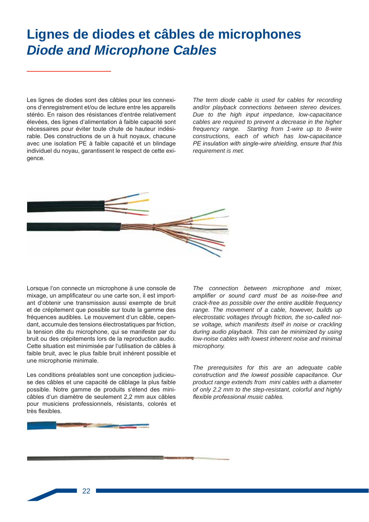# Lignes de diodes et câbles de microphones **Diode and Microphone Cables**

Les lignes de diodes sont des câbles pour les connexions d'enregistrement et/ou de lecture entre les appareils stéréo. En raison des résistances d'entrée relativement élevées, des lignes d'alimentation à faible capacité sont nécessaires pour éviter toute chute de hauteur indésirable. Des constructions de un à huit noyaux, chacune avec une isolation PE à faible capacité et un blindage individuel du noyau, garantissent le respect de cette exigence.

The term diode cable is used for cables for recording and/or playback connections between stereo devices. Due to the high input impedance, low-capacitance cables are required to prevent a decrease in the higher frequency range. Starting from 1-wire up to 8-wire constructions, each of which has low-capacitance PE insulation with single-wire shielding, ensure that this requirement is met.



Lorsque l'on connecte un microphone à une console de mixage, un amplificateur ou une carte son, il est important d'obtenir une transmission aussi exempte de bruit et de crépitement que possible sur toute la gamme des fréquences audibles. Le mouvement d'un câble, cependant, accumule des tensions électrostatiques par friction, la tension dite du microphone, qui se manifeste par du bruit ou des crépitements lors de la reproduction audio. Cette situation est minimisée par l'utilisation de câbles à faible bruit, avec le plus faible bruit inhérent possible et une microphonie minimale.

Les conditions préalables sont une conception judicieuse des câbles et une capacité de câblage la plus faible possible. Notre gamme de produits s'étend des minicâbles d'un diamètre de seulement 2,2 mm aux câbles pour musiciens professionnels, résistants, colorés et très flexibles.

The connection between microphone and mixer, amplifier or sound card must be as noise-free and crack-free as possible over the entire audible frequency range. The movement of a cable, however, builds up electrostatic voltages through friction, the so-called noise voltage, which manifests itself in noise or crackling during audio playback. This can be minimized by using low-noise cables with lowest inherent noise and minimal microphony.

The prerequisites for this are an adequate cable construction and the lowest possible capacitance. Our product range extends from mini cables with a diameter of only 2.2 mm to the step-resistant, colorful and highly flexible professional music cables.

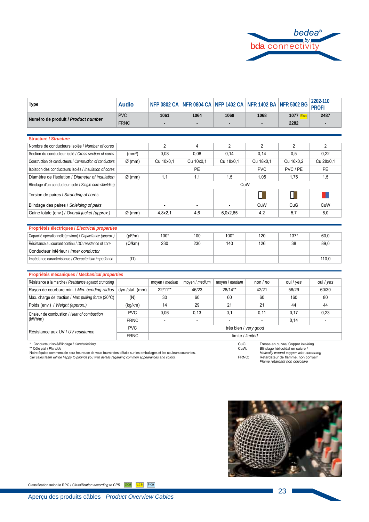

| <b>Type</b>                                              | <b>Audio</b>       | <b>NFP 0802 CA</b>    |                | NFR 0804 CA NFP 1402 CA NFR 1402 BA NFR 5002 BG |                |           | 2202-110<br><b>PROFI</b> |  |
|----------------------------------------------------------|--------------------|-----------------------|----------------|-------------------------------------------------|----------------|-----------|--------------------------|--|
| Numéro de produit / Product number                       | <b>PVC</b>         | 1061                  | 1064           | 1069                                            | 1068           | 1077 Eca  | 2487                     |  |
|                                                          | <b>FRNC</b>        |                       |                |                                                 |                | 2282      |                          |  |
|                                                          |                    |                       |                |                                                 |                |           |                          |  |
| <b>Structure / Structure</b>                             |                    |                       |                |                                                 |                |           |                          |  |
| Nombre de conducteurs isolés / Number of cores           |                    | $\overline{2}$        | 4              | $\overline{2}$                                  | $\overline{2}$ | 2         | $\overline{2}$           |  |
| Section du conducteur isolé / Cross section of cores     | (mm <sup>2</sup> ) | 0,08                  | 0,08           | 0,14                                            | 0,14           | 0,5       | 0,22                     |  |
| Construction de conducteurs / Construction of conductors | $Ø$ (mm)           | Cu 10x0.1             | Cu 10x0.1      | Cu 18x0.1                                       | Cu 18x0.1      | Cu 16x0.2 | Cu 28x0.1                |  |
| Isolation des conducteurs isolés / Insulation of cores   |                    |                       | PE             |                                                 | <b>PVC</b>     | PVC / PE  | PE                       |  |
| Diamètre de l'isolation / Diameter of insulation         | $Ø$ (mm)           | 1,1                   | 1,1            | 1,5                                             | 1,05           | 1,75      | 1,5                      |  |
| Blindage d'un conducteur isolé / Single core shielding   |                    |                       |                | CuW                                             |                |           |                          |  |
| Torsion de paires / Stranding of cores                   |                    |                       |                |                                                 |                |           |                          |  |
| Blindage des paires / Shielding of pairs                 |                    | $\blacksquare$        | $\blacksquare$ | ä,                                              | CuW            | CuG       | CuW                      |  |
| Gaine totale (env.) / Overall jacket (approx.)           | $\varnothing$ (mm) | 4,8x2,1               | 4,6            | 6,0x2,65                                        | 4,2            | 5,7       | 6,0                      |  |
|                                                          |                    |                       |                |                                                 |                |           |                          |  |
| Propriétés électriques / Electrical properties           |                    |                       |                |                                                 |                |           |                          |  |
| Capacité opérationnelle(environ) / Capacitance (approx.) | (pF/m)             | $100*$                | 100            | $100*$                                          | 120            | $137*$    | 60,0                     |  |
| Résistance au courant continu / DC-resistance of core    | $(\Omega/km)$      | 230                   | 230            | 140                                             | 126            | 38        | 89,0                     |  |
| Conducteur intérieur / Inner conductor                   |                    |                       |                |                                                 |                |           |                          |  |
| Impédance caractéristique / Characteristic impedance     | $(\Omega)$         |                       |                |                                                 |                |           | 110.0                    |  |
|                                                          |                    |                       |                |                                                 |                |           |                          |  |
| Propriétés mécaniques / Mechanical properties            |                    |                       |                |                                                 |                |           |                          |  |
| Résistance à la marche / Resistance against crunching    |                    | moyen / medium        | moyen / medium | moyen / medium                                  | non $/$ no     | oui / yes | oui / yes                |  |
| Rayon de courbure min. / Min. bending radius             | dyn./stat. (mm)    | 22/11**               | 46/23          | 28/14**                                         | 42/21          | 58/29     | 60/30                    |  |
| Max. charge de traction / Max pulling force (20°C)       | (N)                | 30                    | 60             | 60                                              | 60             | 160       | 80                       |  |
| Poids (env.) / Weight (approx.)                          | (kg/km)            | 14                    | 29             | 21                                              | 21             | 44        | 44                       |  |
| Chaleur de combustion / Heat of combustion               | <b>PVC</b>         | 0,06                  | 0, 13          | 0,1                                             | 0,11           | 0,17      | 0,23                     |  |
| (kWh/m)                                                  | <b>FRNC</b>        |                       |                |                                                 |                | 0,14      |                          |  |
|                                                          | <b>PVC</b>         | très bien / very good |                |                                                 |                |           |                          |  |

FRNC limité / limité / limité / limité / limited

Résistance aux UV / UV resistance

\* Conducteur isolé/Blindage / *Core/shieldin*g<br>\*\* Côté plat / *Flat side* 

Notre équipe commerciale sera heureuse de vous fournir des détails sur les emballages et les couleurs courantes.<br>*Our sales team will be happy to provide you with details regarding common appearances and colors.* 

CuG: Tresse en cuivre/ Copper *braiding*<br>CuW: Bilindage hélicoïdal en cuivre /<br>*Helically wound copper wire screening*<br>FRNC: Retardateur de flamme, non corrosif *Flame retardant non corrosive*

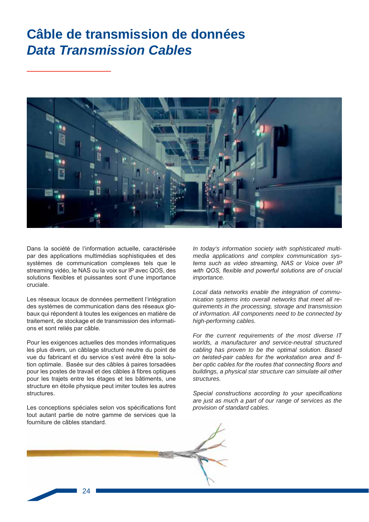## Câble de transmission de données **Data Transmission Cables**



Dans la société de l'information actuelle, caractérisée par des applications multimédias sophistiquées et des systèmes de communication complexes tels que le streaming vidéo, le NAS ou la voix sur IP avec QOS, des solutions flexibles et puissantes sont d'une importance cruciale.

Les réseaux locaux de données permettent l'intégration des systèmes de communication dans des réseaux globaux qui répondent à toutes les exigences en matière de traitement, de stockage et de transmission des informations et sont reliés par câble.

Pour les exigences actuelles des mondes informatiques les plus divers, un câblage structuré neutre du point de vue du fabricant et du service s'est avéré être la solution optimale. Basée sur des câbles à paires torsadées pour les postes de travail et des câbles à fibres optiques pour les trajets entre les étages et les bâtiments, une structure en étoile physique peut imiter toutes les autres structures.

Les conceptions spéciales selon vos spécifications font tout autant partie de notre gamme de services que la fourniture de câbles standard.

In today's information society with sophisticated multimedia applications and complex communication systems such as video streaming, NAS or Voice over IP with QOS, flexible and powerful solutions are of crucial importance.

Local data networks enable the integration of communication systems into overall networks that meet all requirements in the processing, storage and transmission of information. All components need to be connected by high-performing cables.

For the current requirements of the most diverse IT worlds, a manufacturer and service-neutral structured cabling has proven to be the optimal solution. Based on twisted-pair cables for the workstation area and fiber optic cables for the routes that connecting floors and buildings, a physical star structure can simulate all other structures.

Special constructions according to your specifications are just as much a part of our range of services as the provision of standard cables.

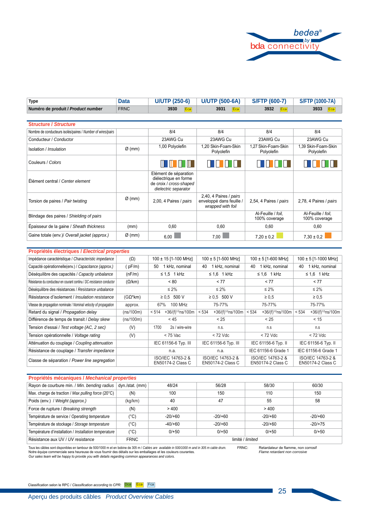

| <b>Type</b>                        | Data | <b>U/UTP (250-6)</b> | <b>U/UTP (500-6A)</b> | <b>S/FTP (600-7)</b> | S/FTP (1000-7A) |
|------------------------------------|------|----------------------|-----------------------|----------------------|-----------------|
| Numéro de produit / Product number | FRNC | 3930<br>Ecal         | 3931                  | 3932                 | 3933            |

| <b>Structure / Structure</b>                                |                    |                                                                                                   |                                                                         |                                     |                                     |
|-------------------------------------------------------------|--------------------|---------------------------------------------------------------------------------------------------|-------------------------------------------------------------------------|-------------------------------------|-------------------------------------|
| Nombre de conducteurs isolés/paires / Number of wires/pairs |                    | 8/4                                                                                               | 8/4                                                                     | 8/4                                 | 8/4                                 |
| Conducteur / Conductor                                      |                    | 23AWG Cu                                                                                          | 23AWG Cu                                                                | 23AWG Cu                            | 23AWG Cu                            |
| Isolation / Insulation                                      | $\varnothing$ (mm) | 1,00 Polyolefin                                                                                   | 1,20 Skin-Foam-Skin<br>Polyolefin                                       | 1.27 Skin-Foam-Skin<br>Polyolefin   | 1,39 Skin-Foam-Skin<br>Polyolefin   |
| Couleurs / Colors                                           |                    | TIMIN'<br>11 H                                                                                    |                                                                         |                                     |                                     |
| Élément central / Center element                            |                    | Elément de séparation<br>diélectrique en forme<br>de croix / cross-shaped<br>dielectric separator |                                                                         |                                     |                                     |
| Torsion de paires / Pair twisting                           | $\varnothing$ (mm) | 2,00, 4 Paires / pairs                                                                            | 2,40, 4 Paires / pairs<br>enveloppé dans feuille /<br>wrapped with foil | 2,54, 4 Paires / pairs              | 2,78, 4 Paires / pairs              |
| Blindage des paires / Shielding of pairs                    |                    |                                                                                                   |                                                                         | Al-Feuille / foil.<br>100% coverage | Al-Feuille / foil.<br>100% coverage |
| Épaisseur de la gaine / Sheath thickness                    | (mm)               | 0,60                                                                                              | 0.60                                                                    | 0,60                                | 0,60                                |
| Gaine totale (env.)/ Overall jacket (approx.)               | $\varnothing$ (mm) | 6.00                                                                                              | 7.00                                                                    | $7.20 \pm 0.2$                      | $7.30 \pm 0.2$                      |

| Propriétés électriques / Electrical properties                        |                 |                                         |                                         |                                               |                                             |
|-----------------------------------------------------------------------|-----------------|-----------------------------------------|-----------------------------------------|-----------------------------------------------|---------------------------------------------|
| Impédance caractéristique / Characteristic impedance                  | $(\Omega)$      | 100 ± 15 [1-100 MHz]                    | $100 \pm 5$ [1-500 MHz]                 | $100 \pm 5$ [1-600 MHz]                       | 100 ± 5 [1-1000 MHz]                        |
| Capacité opérationnelle(env.) / Capacitance (approx.)                 | pF/m            | 1 kHz, nominal<br>50                    | 1 kHz, nominal<br>40                    | 1 kHz, nominal<br>40                          | 1 kHz, nominal<br>40                        |
| Déséquilibre des capacités / Capacity unbalance                       | (nF/m)          | $\leq 1.5$ 1 kHz                        | $\leq 1.6$ 1 kHz                        | $\leq 1.6$ 1 kHz                              | $\leq 1.6$ 1 kHz                            |
| Résistance du conducteur en courant continu / DC-resistance conductor | $(\Omega/km)$   | < 80                                    | < 77                                    | < 77                                          | < 77                                        |
| Déséquilibre des résistances / Resistance unbalance                   |                 | $\leq 2\%$                              | $\leq 2\%$                              | $\leq 2\%$                                    | $\leq 2\%$                                  |
| Résistance d'isolement / Insulation resistance                        | $(G\Omega^*km)$ | ≥ 0.5 500 V                             | ≥ 0.5 500 V                             | $\geq 0.5$                                    | $\geq 0.5$                                  |
| Vitesse de propagation nominale / Nominal velocity of propagation     | approx.         | 100 MHz<br>67%                          | 75-77%                                  | 75-77%                                        | 75-77%                                      |
| Retard du signal / Propagation delay                                  | (ns/100m)       | +36/(f) <sup>1/2</sup> ns/100m<br>< 514 | +36/(f) <sup>1/2</sup> ns/100m<br>< 534 | +36/(f) <sup>1/2</sup> ns/100m<br>< 534       | +36/(f) <sup>1/2</sup> ns/100m<br>$ $ < 534 |
| Différence de temps de transit / Delay skew                           | (ns/100m)       | < 45                                    | < 25                                    | < 25                                          | < 15                                        |
| Tension d'essai / Test voltage (AC, 2 sec)                            | (V)             | 2s / wire-wire<br>1700                  | n.s.                                    | n.s                                           | n.s                                         |
| Tension opérationnelle / Voltage rating                               | (V)             | < 75 Vac                                | $<$ 72 Vdc                              | $< 72$ Vdc                                    | $<$ 72 Vdc                                  |
| Atténuation du couplage / Coupling attenuation                        |                 | IEC 61156-6 Typ. III                    | IEC 61156-6 Typ. III                    | IEC 61156-6 Typ. II                           | IEC 61156-6 Typ. II                         |
| Résistance de couplage / Transfer impedance                           |                 | n.a.                                    | n.a.                                    | IEC 61156-6 Grade 1                           | IEC 61156-6 Grade 1                         |
| Classe de séparation / Power line segregation                         |                 | ISO/IEC 14763-2 &<br>EN50174-2 Class C  | ISO/IEC 14763-2 &<br>EN50174-2 Class C  | ISO/IEC 14763-2 &<br><b>EN50174-2 Class C</b> | ISO/IEC 14763-2 &<br>EN50174-2 Class C      |

#### **Propriétés mécaniques /** *Mechanical properties*

| Rayon de courbure min. / Min. bending radius          | dyn./stat. (mm) | 48/24            | 56/28     | 58/30    | 60/30     |  |
|-------------------------------------------------------|-----------------|------------------|-----------|----------|-----------|--|
| Max. charge de traction / Max pulling force (20°C)    | (N)             | 100              | 150       | 110      | 150       |  |
| Poids (env.) / Weight (approx.)                       | (kq/km)         | 40               | 47        | 55       | 58        |  |
| Force de rupture / Breaking strength                  | (N)             | >400             |           | >400     |           |  |
| Température de service / Operating temperature        | (°C)            | $-20/60$         | $-20/+60$ | $-20/60$ | $-20/60$  |  |
| Température de stockage / Storage temperature         | (°C)            | $-40/+60$        | $-20/+60$ | $-20/60$ | $-20/+75$ |  |
| Température d'installation / Installation temperature | $(^{\circ}C)$   | $0/+50$          | $0/+50$   | $0/+50$  | $0/+50$   |  |
| Résistance aux UV / UV resistance                     | <b>FRNC</b>     | limité / limited |           |          |           |  |

FRNC: Retardateur de flamme, non corrosif *Flame retardant non corrosive* Tous les câbles sont disponibles en tambour de 500/1000 m et en bobine de 305 m / *Cables are available in 500/1000 m and in 305 m cable drum.*<br>Notre équipe commerciale sera heureuse de vous fournir des détails sur les em

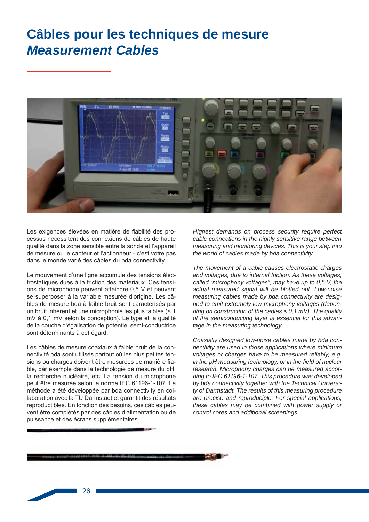### Câbles pour les techniques de mesure **Measurement Cables**



Les exigences élevées en matière de fiabilité des processus nécessitent des connexions de câbles de haute qualité dans la zone sensible entre la sonde et l'appareil de mesure ou le capteur et l'actionneur - c'est votre pas dans le monde varié des câbles du bda connectivity.

Le mouvement d'une ligne accumule des tensions électrostatiques dues à la friction des matériaux. Ces tensions de microphone peuvent atteindre 0,5 V et peuvent se superposer à la variable mesurée d'origine. Les câbles de mesure bda à faible bruit sont caractérisés par un bruit inhérent et une microphonie les plus faibles (< 1 mV à 0.1 mV selon la conception). Le type et la qualité de la couche d'égalisation de potentiel semi-conductrice sont déterminants à cet égard.

Les câbles de mesure coaxiaux à faible bruit de la connectivité bda sont utilisés partout où les plus petites tensions ou charges doivent être mesurées de manière fiable, par exemple dans la technologie de mesure du pH, la recherche nucléaire, etc. La tension du microphone peut être mesurée selon la norme IEC 61196-1-107. La méthode a été développée par bda connectivity en collaboration avec la TU Darmstadt et garantit des résultats reproductibles. En fonction des besoins, ces câbles peuvent être complétés par des câbles d'alimentation ou de puissance et des écrans supplémentaires.

Highest demands on process security require perfect cable connections in the highly sensitive range between measuring and monitoring devices. This is your step into the world of cables made by bda connectivity.

The movement of a cable causes electrostatic charges and voltages, due to internal friction. As these voltages, called "microphony voltages", may have up to 0,5 V, the actual measured signal will be blotted out. Low-noise measuring cables made by bda connectivity are designed to emit extremely low microphony voltages (depending on construction of the cables  $\leq$  0.1 mV). The quality of the semiconducting layer is essential for this advantage in the measuring technology.

Coaxially designed low-noise cables made by bda connectivity are used in those applications where minimum voltages or charges have to be measured reliably, e.g. in the pH measuring technology, or in the field of nuclear research. Microphony charges can be measured according to IEC 61196-1-107. This procedure was developed by bda connectivity together with the Technical University of Darmstadt. The results of this measuring procedure are precise and reproduciple. For special applications, these cables may be combined with power supply or control cores and additional screenings.

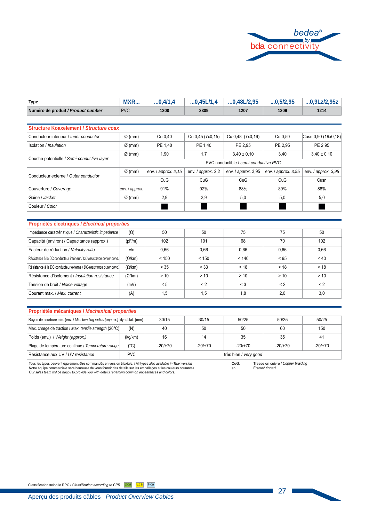

| Type                               | MXR        | .0.4/1.4 | 0.45L/1.4 | $\ldots$ 0.48L/2.95 | 0,5/2,95 | $0.9$ Lz/2.95z |
|------------------------------------|------------|----------|-----------|---------------------|----------|----------------|
| Numéro de produit / Product number | <b>PVC</b> | 1200     | 3309      | 1207                | 1209     | 1214           |

| <b>Structure Koaxelement / Structure coax</b> |                    |                      |                                       |                     |                     |                     |  |  |
|-----------------------------------------------|--------------------|----------------------|---------------------------------------|---------------------|---------------------|---------------------|--|--|
| Conducteur intérieur / Inner conductor        | $\varnothing$ (mm) | Cu 0.40              | Cu 0,45 (7x0,15)                      | Cu 0,48 (7x0,16)    | Cu 0.50             | Cusn 0,90 (19x0,18) |  |  |
| Isolation / Insulation                        | $\varnothing$ (mm) | PE 1,40              | PE 1.40                               | PE 2.95             | PE 2.95             | PE 2.95             |  |  |
| Couche potentielle / Semi-conductive layer    | $\varnothing$ (mm) | 1,90                 | 1,7                                   | $3.40 \pm 0.10$     | 3.40                | $3,40 \pm 0,10$     |  |  |
|                                               |                    |                      | PVC conductible / semi-conductive PVC |                     |                     |                     |  |  |
| Conducteur externe / Outer conductor          | $\varnothing$ (mm) | env. / approx. 2, 15 | env. $/$ approx. 2,2                  | env. / approx. 3,95 | env. / approx. 3,95 | env. / approx. 3,95 |  |  |
|                                               |                    | CuG                  | CuG                                   | CuG                 | CuG                 | Cusn                |  |  |
| Couverture / Coverage                         | env. / approx.     | 91%                  | 92%                                   | 88%                 | 89%                 | 88%                 |  |  |
| Gaine / Jacket                                | $\varnothing$ (mm) | 2.9                  | 2,9                                   | 5.0                 | 5.0                 | 5,0                 |  |  |
| Couleur / Color                               |                    |                      |                                       |                     |                     |                     |  |  |

| Propriétés électriques / Electrical properties                       |                 |       |          |          |             |          |  |  |  |  |
|----------------------------------------------------------------------|-----------------|-------|----------|----------|-------------|----------|--|--|--|--|
| Impédance caractéristique / Characteristic impedance                 | $(\Omega)$      | 50    | 50       | 75       | 75          | 50       |  |  |  |  |
| Capacité (environ) / Capacitance (approx.)                           | (pF/m)          | 102   | 101      | 68       | 70          | 102      |  |  |  |  |
| Facteur de réduction / Velocity ratio                                | v/c             | 0,66  | 0,66     | 0,66     | 0,66        | 0,66     |  |  |  |  |
| Résistance à la DC conducteur intérieur / DC-resistance center cond. | $(\Omega/km)$   | < 150 | < 150    | < 140    | < 95        | ~10      |  |  |  |  |
| Résistance à la DC conducteur externe / DC-resistance outer cond.    | $(\Omega/km)$   | < 35  | < 33     | < 18     | < 18        | < 18     |  |  |  |  |
| Résistance d'isolement / Insulation resistance                       | $(\Omega^*$ km) | > 10  | > 10     | > 10     | > 10        | > 10     |  |  |  |  |
| Tension de bruit / Noise voltage                                     | (mV)            | < 5   | $\leq$ 2 | $\leq 3$ | $\langle$ 2 | $\leq$ 2 |  |  |  |  |
| Courant max. / Max. current                                          | (A)             | 1,5   | 1,5      | 1,8      | 2,0         | 3,0      |  |  |  |  |

### Propriétés mécaniques / Mechanical properties

| Rayon de courbure min. (env. / Min. bending radius (approx.) dyn./stat. (mm) |               | 30/15                 | 30/15     | 50/25     | 50/25     | 50/25     |  |  |
|------------------------------------------------------------------------------|---------------|-----------------------|-----------|-----------|-----------|-----------|--|--|
| Max. charge de traction / Max. tensile strength (20°C)                       | (N)           | 40                    | 50        | 50        | 60        | 150       |  |  |
| Poids (env.) / Weight (approx.)                                              | (kg/km)       | 16                    | 14        | 35        | 35        | 41        |  |  |
| Plage de température continue / Temperature range                            | $(^{\circ}C)$ | $-20/170$             | $-20/170$ | $-20/170$ | $-20/170$ | $-20/170$ |  |  |
| Résistance aux UV / UV resistance                                            | <b>PVC</b>    | très bien / very good |           |           |           |           |  |  |

Tous les types peuvent également être commandés en version triaxiale. / All types also available in Triax version<br>Notre équipe commerciale sera heureuse de vous fournir des détails sur les emballages et les couleurs couran

Tresse en cuivre / Copper braiding<br>Étamé/ tinned CuG: sn: